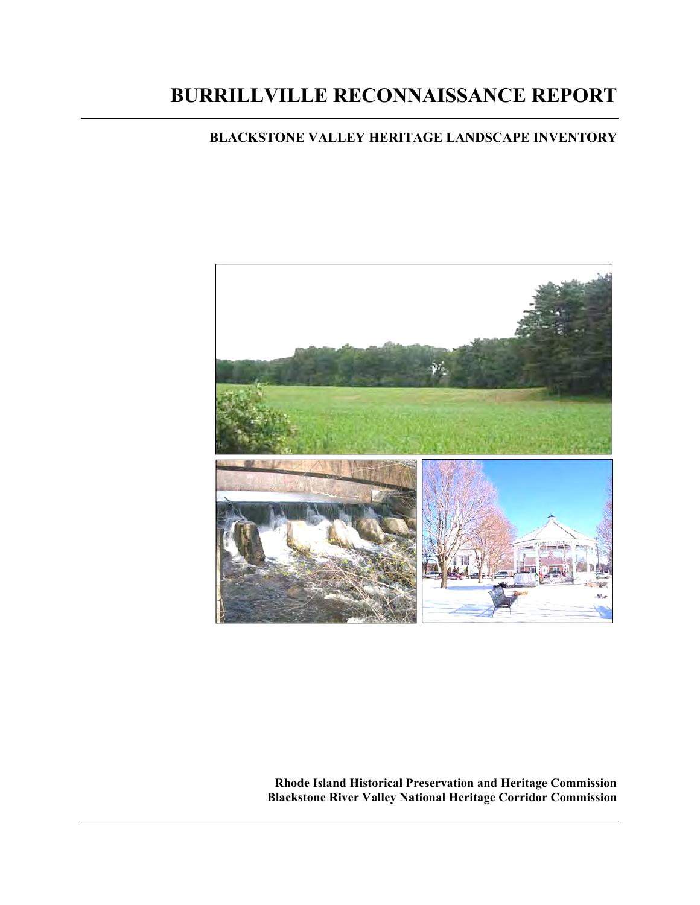# **BURRILLVILLE RECONNAISSANCE REPORT**

# **BLACKSTONE VALLEY HERITAGE LANDSCAPE INVENTORY**



**Rhode Island Historical Preservation and Heritage Commission Blackstone River Valley National Heritage Corridor Commission**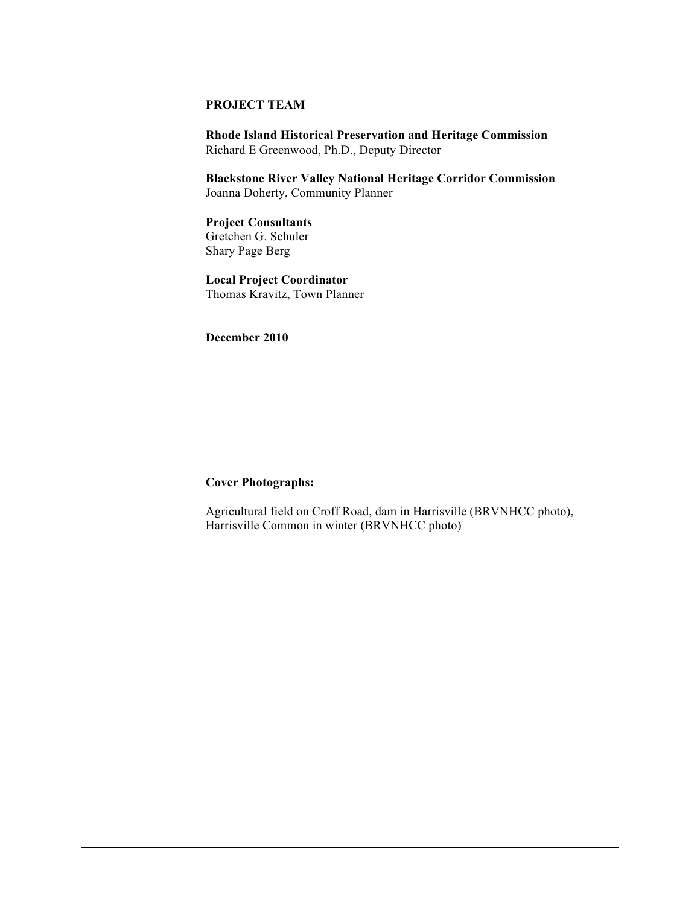#### **PROJECT TEAM**

**Rhode Island Historical Preservation and Heritage Commission** Richard E Greenwood, Ph.D., Deputy Director

**Blackstone River Valley National Heritage Corridor Commission** Joanna Doherty, Community Planner

**Project Consultants** Gretchen G. Schuler Shary Page Berg

**Local Project Coordinator**  Thomas Kravitz, Town Planner

**December 2010** 

#### **Cover Photographs:**

Agricultural field on Croff Road, dam in Harrisville (BRVNHCC photo), Harrisville Common in winter (BRVNHCC photo)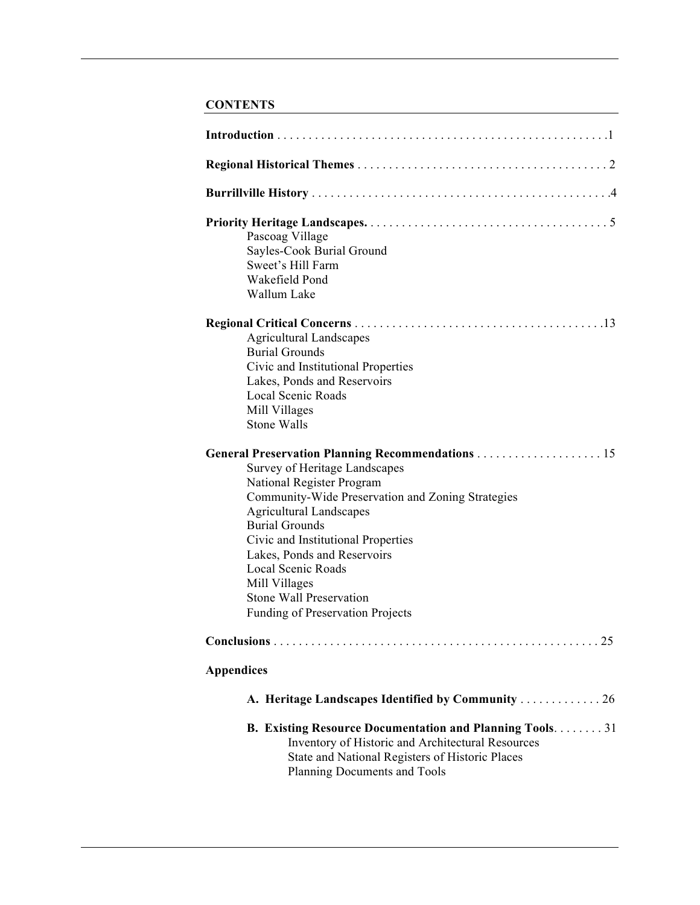# **CONTENTS**

| Pascoag Village<br>Sayles-Cook Burial Ground<br>Sweet's Hill Farm<br>Wakefield Pond<br>Wallum Lake                                                                                                                                                                                                                                                    |
|-------------------------------------------------------------------------------------------------------------------------------------------------------------------------------------------------------------------------------------------------------------------------------------------------------------------------------------------------------|
| <b>Agricultural Landscapes</b><br><b>Burial Grounds</b><br>Civic and Institutional Properties<br>Lakes, Ponds and Reservoirs<br><b>Local Scenic Roads</b><br>Mill Villages<br><b>Stone Walls</b>                                                                                                                                                      |
| Survey of Heritage Landscapes<br>National Register Program<br>Community-Wide Preservation and Zoning Strategies<br><b>Agricultural Landscapes</b><br><b>Burial Grounds</b><br>Civic and Institutional Properties<br>Lakes, Ponds and Reservoirs<br>Local Scenic Roads<br>Mill Villages<br>Stone Wall Preservation<br>Funding of Preservation Projects |
| 25                                                                                                                                                                                                                                                                                                                                                    |
| <b>Appendices</b>                                                                                                                                                                                                                                                                                                                                     |
| A. Heritage Landscapes Identified by Community 26                                                                                                                                                                                                                                                                                                     |
| <b>B. Existing Resource Documentation and Planning Tools31</b><br>Inventory of Historic and Architectural Resources<br>State and National Registers of Historic Places<br>Planning Documents and Tools                                                                                                                                                |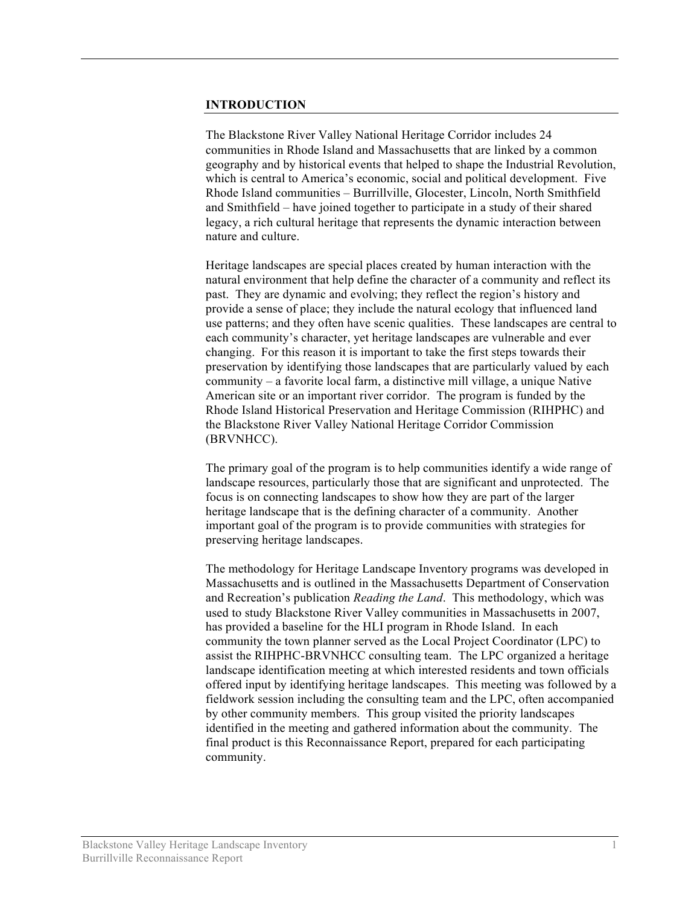#### **INTRODUCTION**

The Blackstone River Valley National Heritage Corridor includes 24 communities in Rhode Island and Massachusetts that are linked by a common geography and by historical events that helped to shape the Industrial Revolution, which is central to America's economic, social and political development. Five Rhode Island communities – Burrillville, Glocester, Lincoln, North Smithfield and Smithfield – have joined together to participate in a study of their shared legacy, a rich cultural heritage that represents the dynamic interaction between nature and culture.

Heritage landscapes are special places created by human interaction with the natural environment that help define the character of a community and reflect its past. They are dynamic and evolving; they reflect the region's history and provide a sense of place; they include the natural ecology that influenced land use patterns; and they often have scenic qualities. These landscapes are central to each community's character, yet heritage landscapes are vulnerable and ever changing. For this reason it is important to take the first steps towards their preservation by identifying those landscapes that are particularly valued by each community – a favorite local farm, a distinctive mill village, a unique Native American site or an important river corridor. The program is funded by the Rhode Island Historical Preservation and Heritage Commission (RIHPHC) and the Blackstone River Valley National Heritage Corridor Commission (BRVNHCC).

The primary goal of the program is to help communities identify a wide range of landscape resources, particularly those that are significant and unprotected. The focus is on connecting landscapes to show how they are part of the larger heritage landscape that is the defining character of a community. Another important goal of the program is to provide communities with strategies for preserving heritage landscapes.

The methodology for Heritage Landscape Inventory programs was developed in Massachusetts and is outlined in the Massachusetts Department of Conservation and Recreation's publication *Reading the Land*. This methodology, which was used to study Blackstone River Valley communities in Massachusetts in 2007, has provided a baseline for the HLI program in Rhode Island. In each community the town planner served as the Local Project Coordinator (LPC) to assist the RIHPHC-BRVNHCC consulting team. The LPC organized a heritage landscape identification meeting at which interested residents and town officials offered input by identifying heritage landscapes. This meeting was followed by a fieldwork session including the consulting team and the LPC, often accompanied by other community members. This group visited the priority landscapes identified in the meeting and gathered information about the community. The final product is this Reconnaissance Report, prepared for each participating community.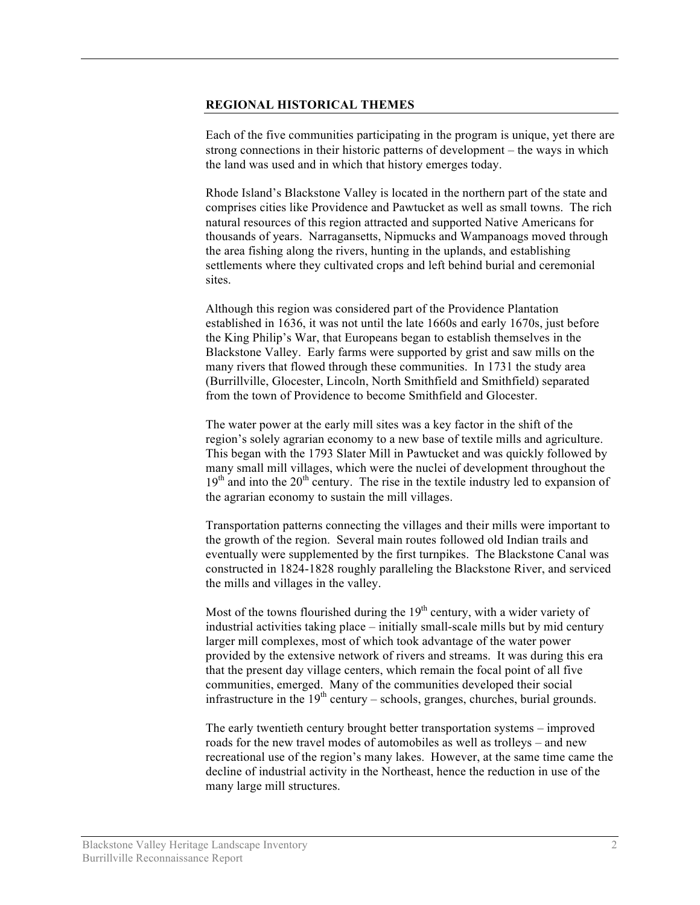#### **REGIONAL HISTORICAL THEMES**

Each of the five communities participating in the program is unique, yet there are strong connections in their historic patterns of development – the ways in which the land was used and in which that history emerges today.

Rhode Island's Blackstone Valley is located in the northern part of the state and comprises cities like Providence and Pawtucket as well as small towns. The rich natural resources of this region attracted and supported Native Americans for thousands of years. Narragansetts, Nipmucks and Wampanoags moved through the area fishing along the rivers, hunting in the uplands, and establishing settlements where they cultivated crops and left behind burial and ceremonial sites.

Although this region was considered part of the Providence Plantation established in 1636, it was not until the late 1660s and early 1670s, just before the King Philip's War, that Europeans began to establish themselves in the Blackstone Valley. Early farms were supported by grist and saw mills on the many rivers that flowed through these communities. In 1731 the study area (Burrillville, Glocester, Lincoln, North Smithfield and Smithfield) separated from the town of Providence to become Smithfield and Glocester.

The water power at the early mill sites was a key factor in the shift of the region's solely agrarian economy to a new base of textile mills and agriculture. This began with the 1793 Slater Mill in Pawtucket and was quickly followed by many small mill villages, which were the nuclei of development throughout the  $19<sup>th</sup>$  and into the  $20<sup>th</sup>$  century. The rise in the textile industry led to expansion of the agrarian economy to sustain the mill villages.

Transportation patterns connecting the villages and their mills were important to the growth of the region. Several main routes followed old Indian trails and eventually were supplemented by the first turnpikes. The Blackstone Canal was constructed in 1824-1828 roughly paralleling the Blackstone River, and serviced the mills and villages in the valley.

Most of the towns flourished during the  $19<sup>th</sup>$  century, with a wider variety of industrial activities taking place – initially small-scale mills but by mid century larger mill complexes, most of which took advantage of the water power provided by the extensive network of rivers and streams. It was during this era that the present day village centers, which remain the focal point of all five communities, emerged. Many of the communities developed their social infrastructure in the  $19<sup>th</sup>$  century – schools, granges, churches, burial grounds.

The early twentieth century brought better transportation systems – improved roads for the new travel modes of automobiles as well as trolleys – and new recreational use of the region's many lakes. However, at the same time came the decline of industrial activity in the Northeast, hence the reduction in use of the many large mill structures.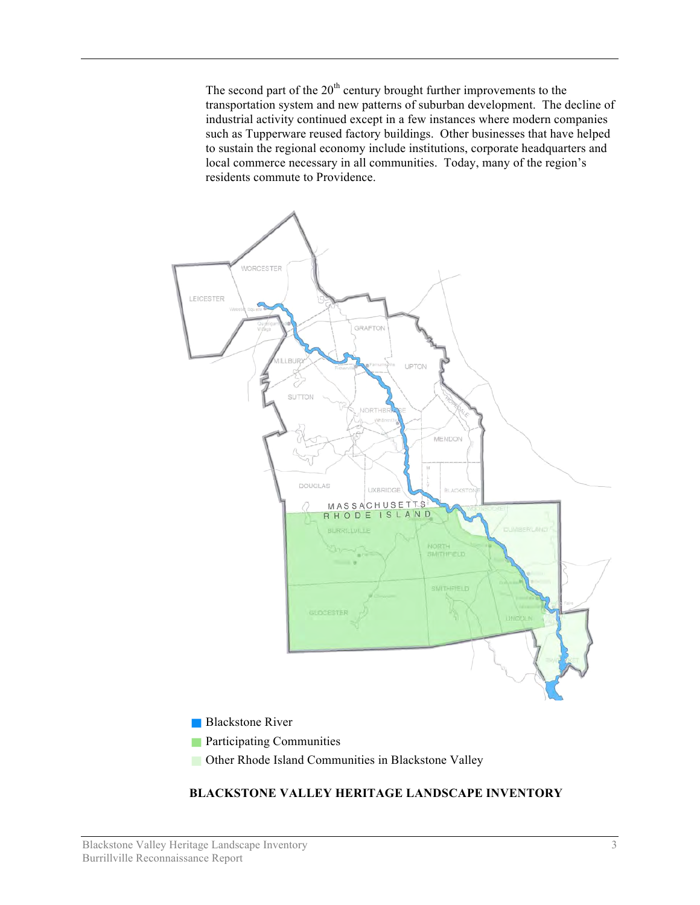The second part of the  $20<sup>th</sup>$  century brought further improvements to the transportation system and new patterns of suburban development. The decline of industrial activity continued except in a few instances where modern companies such as Tupperware reused factory buildings. Other businesses that have helped to sustain the regional economy include institutions, corporate headquarters and local commerce necessary in all communities. Today, many of the region's residents commute to Providence.



#### **Blackstone River**

- **Participating Communities**
- **Communities In Blackstone Valley** Communities in Blackstone Valley

#### **BLACKSTONE VALLEY HERITAGE LANDSCAPE INVENTORY**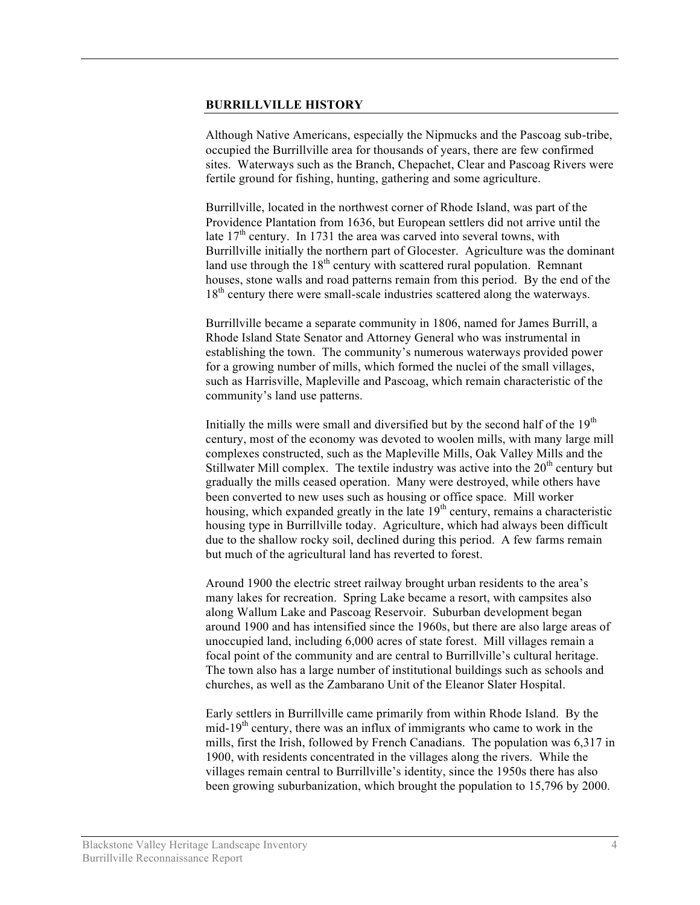#### **BURRILLVILLE HISTORY**

Although Native Americans, especially the Nipmucks and the Pascoag sub-tribe, occupied the Burrillville area for thousands of years, there are few confirmed sites. Waterways such as the Branch, Chepachet, Clear and Pascoag Rivers were fertile ground for fishing, hunting, gathering and some agriculture.

Burrillville, located in the northwest corner of Rhode Island, was part of the Providence Plantation from 1636, but European settlers did not arrive until the late  $17<sup>th</sup>$  century. In 1731 the area was carved into several towns, with Burrillville initially the northern part of Glocester. Agriculture was the dominant land use through the  $18<sup>th</sup>$  century with scattered rural population. Remnant houses, stone walls and road patterns remain from this period. By the end of the 18<sup>th</sup> century there were small-scale industries scattered along the waterways.

Burrillville became a separate community in 1806, named for James Burrill, a Rhode Island State Senator and Attorney General who was instrumental in establishing the town. The community's numerous waterways provided power for a growing number of mills, which formed the nuclei of the small villages, such as Harrisville, Mapleville and Pascoag, which remain characteristic of the community's land use patterns.

Initially the mills were small and diversified but by the second half of the  $19<sup>th</sup>$ century, most of the economy was devoted to woolen mills, with many large mill complexes constructed, such as the Mapleville Mills, Oak Valley Mills and the Stillwater Mill complex. The textile industry was active into the  $20<sup>th</sup>$  century but gradually the mills ceased operation. Many were destroyed, while others have been converted to new uses such as housing or office space. Mill worker housing, which expanded greatly in the late  $19<sup>th</sup>$  century, remains a characteristic housing type in Burrillville today. Agriculture, which had always been difficult due to the shallow rocky soil, declined during this period. A few farms remain but much of the agricultural land has reverted to forest.

Around 1900 the electric street railway brought urban residents to the area's many lakes for recreation. Spring Lake became a resort, with campsites also along Wallum Lake and Pascoag Reservoir. Suburban development began around 1900 and has intensified since the 1960s, but there are also large areas of unoccupied land, including 6,000 acres of state forest. Mill villages remain a focal point of the community and are central to Burrillville's cultural heritage. The town also has a large number of institutional buildings such as schools and churches, as well as the Zambarano Unit of the Eleanor Slater Hospital.

Early settlers in Burrillville came primarily from within Rhode Island. By the mid-19<sup>th</sup> century, there was an influx of immigrants who came to work in the mills, first the Irish, followed by French Canadians. The population was 6,317 in 1900, with residents concentrated in the villages along the rivers. While the villages remain central to Burrillville's identity, since the 1950s there has also been growing suburbanization, which brought the population to 15,796 by 2000.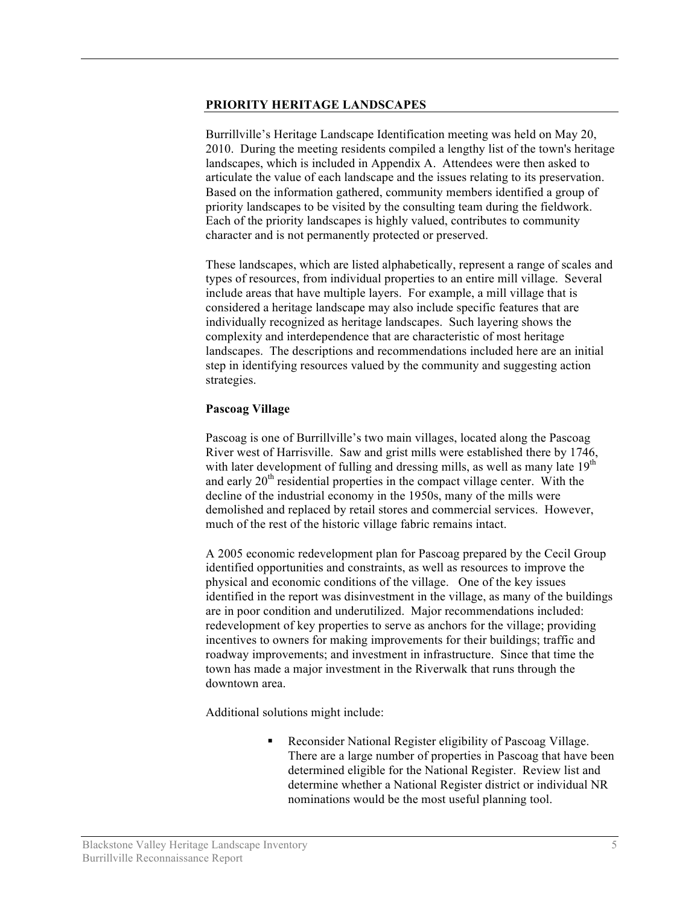#### **PRIORITY HERITAGE LANDSCAPES**

Burrillville's Heritage Landscape Identification meeting was held on May 20, 2010. During the meeting residents compiled a lengthy list of the town's heritage landscapes, which is included in Appendix A. Attendees were then asked to articulate the value of each landscape and the issues relating to its preservation. Based on the information gathered, community members identified a group of priority landscapes to be visited by the consulting team during the fieldwork. Each of the priority landscapes is highly valued, contributes to community character and is not permanently protected or preserved.

These landscapes, which are listed alphabetically, represent a range of scales and types of resources, from individual properties to an entire mill village. Several include areas that have multiple layers. For example, a mill village that is considered a heritage landscape may also include specific features that are individually recognized as heritage landscapes. Such layering shows the complexity and interdependence that are characteristic of most heritage landscapes. The descriptions and recommendations included here are an initial step in identifying resources valued by the community and suggesting action strategies.

## **Pascoag Village**

Pascoag is one of Burrillville's two main villages, located along the Pascoag River west of Harrisville. Saw and grist mills were established there by 1746, with later development of fulling and dressing mills, as well as many late  $19<sup>th</sup>$ and early  $20<sup>th</sup>$  residential properties in the compact village center. With the decline of the industrial economy in the 1950s, many of the mills were demolished and replaced by retail stores and commercial services. However, much of the rest of the historic village fabric remains intact.

A 2005 economic redevelopment plan for Pascoag prepared by the Cecil Group identified opportunities and constraints, as well as resources to improve the physical and economic conditions of the village. One of the key issues identified in the report was disinvestment in the village, as many of the buildings are in poor condition and underutilized. Major recommendations included: redevelopment of key properties to serve as anchors for the village; providing incentives to owners for making improvements for their buildings; traffic and roadway improvements; and investment in infrastructure. Since that time the town has made a major investment in the Riverwalk that runs through the downtown area.

Additional solutions might include:

 Reconsider National Register eligibility of Pascoag Village. There are a large number of properties in Pascoag that have been determined eligible for the National Register. Review list and determine whether a National Register district or individual NR nominations would be the most useful planning tool.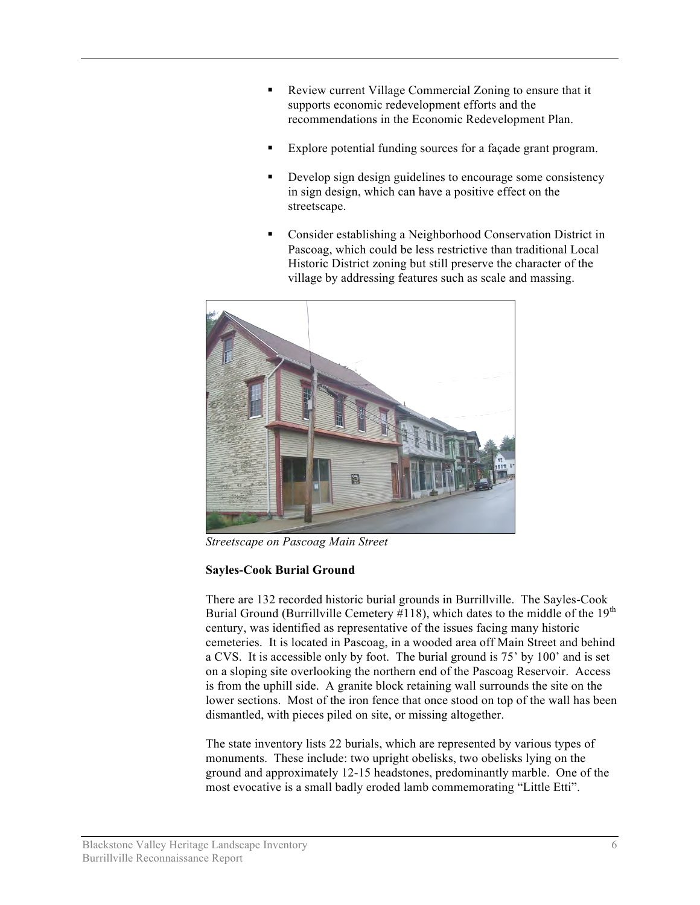- Review current Village Commercial Zoning to ensure that it supports economic redevelopment efforts and the recommendations in the Economic Redevelopment Plan.
- Explore potential funding sources for a façade grant program.
- Develop sign design guidelines to encourage some consistency in sign design, which can have a positive effect on the streetscape.
- Consider establishing a Neighborhood Conservation District in Pascoag, which could be less restrictive than traditional Local Historic District zoning but still preserve the character of the village by addressing features such as scale and massing.



*Streetscape on Pascoag Main Street*

# **Sayles-Cook Burial Ground**

There are 132 recorded historic burial grounds in Burrillville. The Sayles-Cook Burial Ground (Burrillville Cemetery  $\#118$ ), which dates to the middle of the  $19<sup>th</sup>$ century, was identified as representative of the issues facing many historic cemeteries. It is located in Pascoag, in a wooded area off Main Street and behind a CVS. It is accessible only by foot. The burial ground is 75' by 100' and is set on a sloping site overlooking the northern end of the Pascoag Reservoir. Access is from the uphill side. A granite block retaining wall surrounds the site on the lower sections. Most of the iron fence that once stood on top of the wall has been dismantled, with pieces piled on site, or missing altogether.

The state inventory lists 22 burials, which are represented by various types of monuments. These include: two upright obelisks, two obelisks lying on the ground and approximately 12-15 headstones, predominantly marble. One of the most evocative is a small badly eroded lamb commemorating "Little Etti".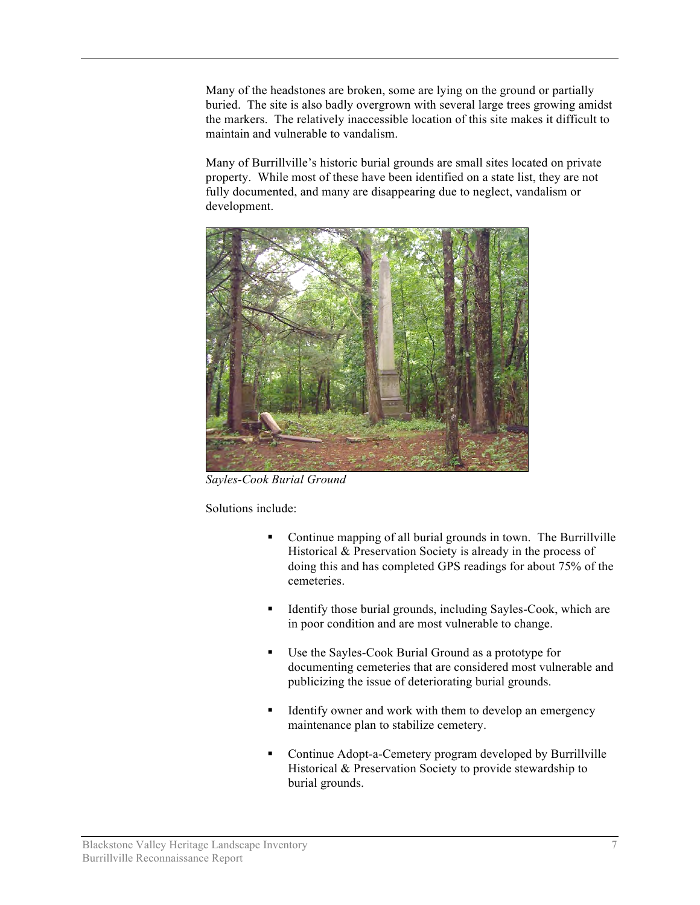Many of the headstones are broken, some are lying on the ground or partially buried. The site is also badly overgrown with several large trees growing amidst the markers. The relatively inaccessible location of this site makes it difficult to maintain and vulnerable to vandalism.

Many of Burrillville's historic burial grounds are small sites located on private property. While most of these have been identified on a state list, they are not fully documented, and many are disappearing due to neglect, vandalism or development.



*Sayles-Cook Burial Ground* 

Solutions include:

- Continue mapping of all burial grounds in town. The Burrillville Historical & Preservation Society is already in the process of doing this and has completed GPS readings for about 75% of the cemeteries.
- Identify those burial grounds, including Sayles-Cook, which are in poor condition and are most vulnerable to change.
- Use the Sayles-Cook Burial Ground as a prototype for documenting cemeteries that are considered most vulnerable and publicizing the issue of deteriorating burial grounds.
- Identify owner and work with them to develop an emergency maintenance plan to stabilize cemetery.
- Continue Adopt-a-Cemetery program developed by Burrillville Historical & Preservation Society to provide stewardship to burial grounds.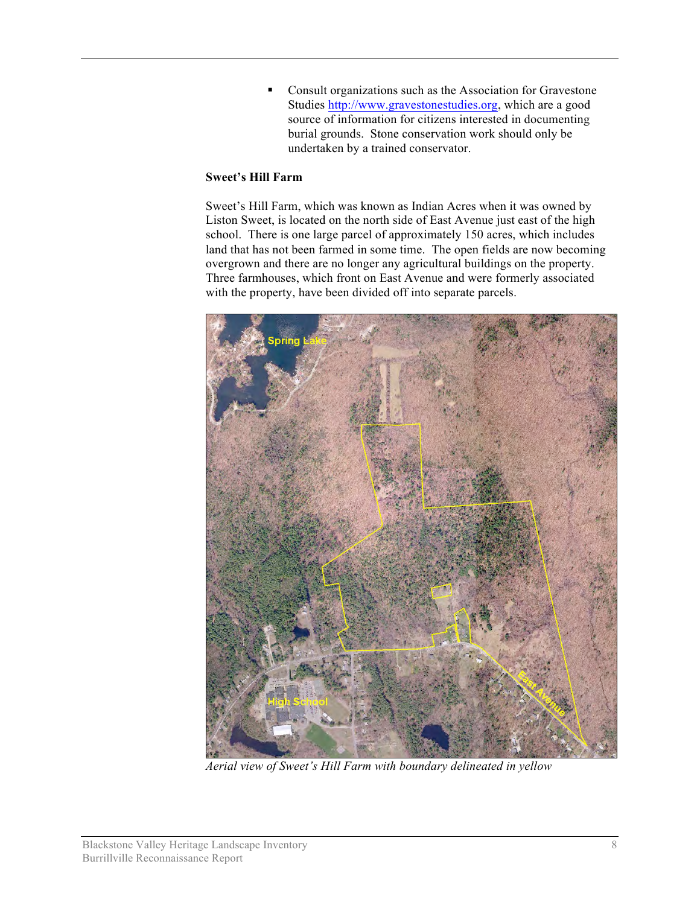**Consult organizations such as the Association for Gravestone** Studies http://www.gravestonestudies.org, which are a good source of information for citizens interested in documenting burial grounds. Stone conservation work should only be undertaken by a trained conservator.

## **Sweet's Hill Farm**

Sweet's Hill Farm, which was known as Indian Acres when it was owned by Liston Sweet, is located on the north side of East Avenue just east of the high school. There is one large parcel of approximately 150 acres, which includes land that has not been farmed in some time. The open fields are now becoming overgrown and there are no longer any agricultural buildings on the property. Three farmhouses, which front on East Avenue and were formerly associated with the property, have been divided off into separate parcels.



*Aerial view of Sweet's Hill Farm with boundary delineated in yellow*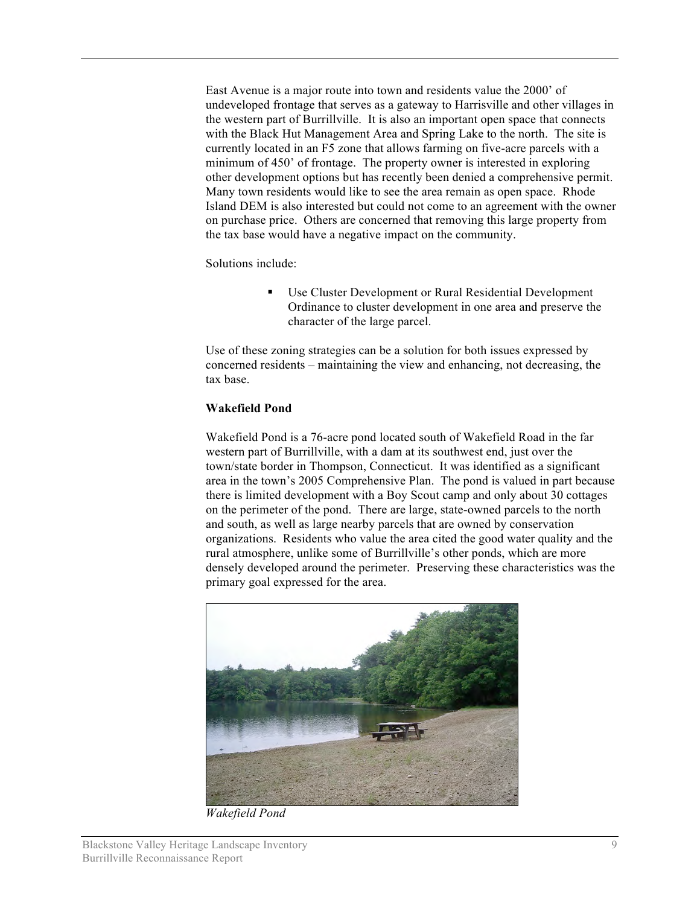East Avenue is a major route into town and residents value the 2000' of undeveloped frontage that serves as a gateway to Harrisville and other villages in the western part of Burrillville. It is also an important open space that connects with the Black Hut Management Area and Spring Lake to the north. The site is currently located in an F5 zone that allows farming on five-acre parcels with a minimum of 450' of frontage. The property owner is interested in exploring other development options but has recently been denied a comprehensive permit. Many town residents would like to see the area remain as open space. Rhode Island DEM is also interested but could not come to an agreement with the owner on purchase price. Others are concerned that removing this large property from the tax base would have a negative impact on the community.

Solutions include:

 Use Cluster Development or Rural Residential Development Ordinance to cluster development in one area and preserve the character of the large parcel.

Use of these zoning strategies can be a solution for both issues expressed by concerned residents – maintaining the view and enhancing, not decreasing, the tax base.

# **Wakefield Pond**

Wakefield Pond is a 76-acre pond located south of Wakefield Road in the far western part of Burrillville, with a dam at its southwest end, just over the town/state border in Thompson, Connecticut. It was identified as a significant area in the town's 2005 Comprehensive Plan. The pond is valued in part because there is limited development with a Boy Scout camp and only about 30 cottages on the perimeter of the pond. There are large, state-owned parcels to the north and south, as well as large nearby parcels that are owned by conservation organizations. Residents who value the area cited the good water quality and the rural atmosphere, unlike some of Burrillville's other ponds, which are more densely developed around the perimeter. Preserving these characteristics was the primary goal expressed for the area.



*Wakefield Pond*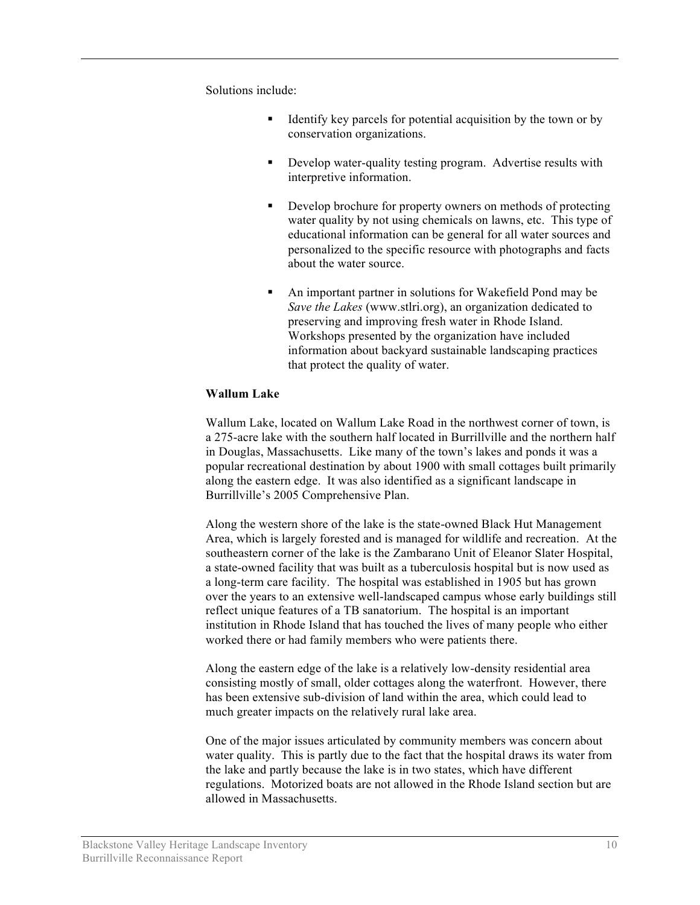Solutions include:

- **IDENTIFY** key parcels for potential acquisition by the town or by conservation organizations.
- **•** Develop water-quality testing program. Advertise results with interpretive information.
- Develop brochure for property owners on methods of protecting water quality by not using chemicals on lawns, etc. This type of educational information can be general for all water sources and personalized to the specific resource with photographs and facts about the water source.
- An important partner in solutions for Wakefield Pond may be *Save the Lakes* (www.stlri.org), an organization dedicated to preserving and improving fresh water in Rhode Island. Workshops presented by the organization have included information about backyard sustainable landscaping practices that protect the quality of water.

## **Wallum Lake**

Wallum Lake, located on Wallum Lake Road in the northwest corner of town, is a 275-acre lake with the southern half located in Burrillville and the northern half in Douglas, Massachusetts. Like many of the town's lakes and ponds it was a popular recreational destination by about 1900 with small cottages built primarily along the eastern edge. It was also identified as a significant landscape in Burrillville's 2005 Comprehensive Plan.

Along the western shore of the lake is the state-owned Black Hut Management Area, which is largely forested and is managed for wildlife and recreation. At the southeastern corner of the lake is the Zambarano Unit of Eleanor Slater Hospital, a state-owned facility that was built as a tuberculosis hospital but is now used as a long-term care facility. The hospital was established in 1905 but has grown over the years to an extensive well-landscaped campus whose early buildings still reflect unique features of a TB sanatorium. The hospital is an important institution in Rhode Island that has touched the lives of many people who either worked there or had family members who were patients there.

Along the eastern edge of the lake is a relatively low-density residential area consisting mostly of small, older cottages along the waterfront. However, there has been extensive sub-division of land within the area, which could lead to much greater impacts on the relatively rural lake area.

One of the major issues articulated by community members was concern about water quality. This is partly due to the fact that the hospital draws its water from the lake and partly because the lake is in two states, which have different regulations. Motorized boats are not allowed in the Rhode Island section but are allowed in Massachusetts.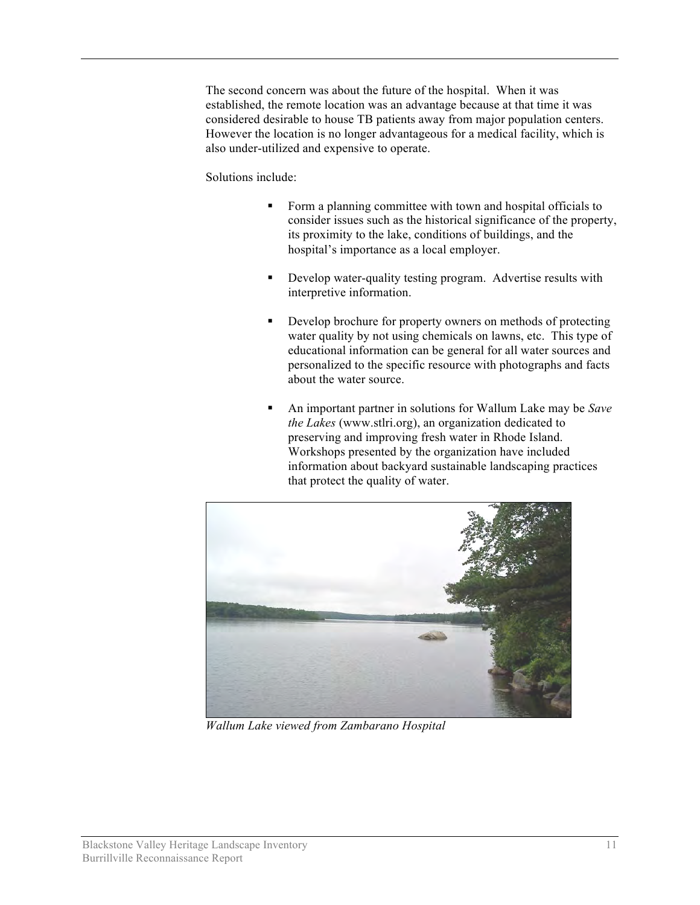The second concern was about the future of the hospital. When it was established, the remote location was an advantage because at that time it was considered desirable to house TB patients away from major population centers. However the location is no longer advantageous for a medical facility, which is also under-utilized and expensive to operate.

Solutions include:

- Form a planning committee with town and hospital officials to consider issues such as the historical significance of the property, its proximity to the lake, conditions of buildings, and the hospital's importance as a local employer.
- Develop water-quality testing program. Advertise results with interpretive information.
- Develop brochure for property owners on methods of protecting water quality by not using chemicals on lawns, etc. This type of educational information can be general for all water sources and personalized to the specific resource with photographs and facts about the water source.
- An important partner in solutions for Wallum Lake may be *Save the Lakes* (www.stlri.org), an organization dedicated to preserving and improving fresh water in Rhode Island. Workshops presented by the organization have included information about backyard sustainable landscaping practices that protect the quality of water.



*Wallum Lake viewed from Zambarano Hospital*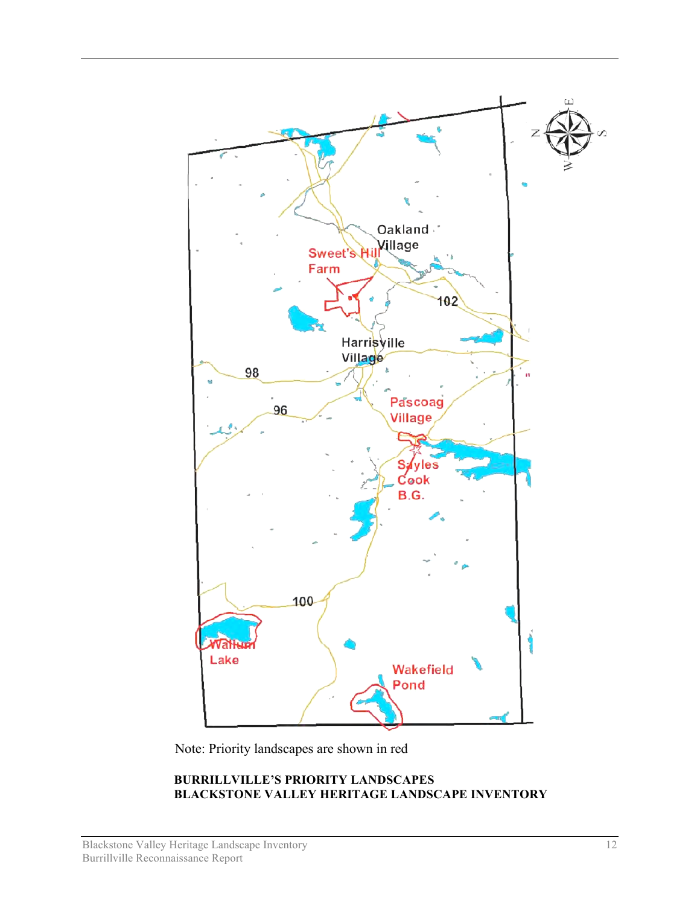

Note: Priority landscapes are shown in red

## **BURRILLVILLE'S PRIORITY LANDSCAPES BLACKSTONE VALLEY HERITAGE LANDSCAPE INVENTORY**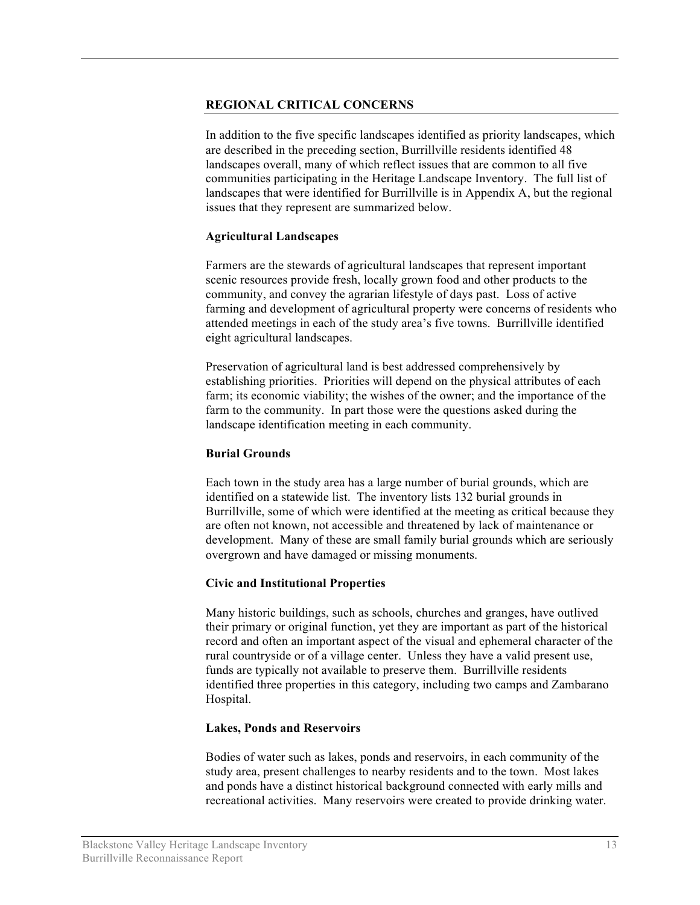## **REGIONAL CRITICAL CONCERNS**

In addition to the five specific landscapes identified as priority landscapes, which are described in the preceding section, Burrillville residents identified 48 landscapes overall, many of which reflect issues that are common to all five communities participating in the Heritage Landscape Inventory. The full list of landscapes that were identified for Burrillville is in Appendix A, but the regional issues that they represent are summarized below.

#### **Agricultural Landscapes**

Farmers are the stewards of agricultural landscapes that represent important scenic resources provide fresh, locally grown food and other products to the community, and convey the agrarian lifestyle of days past. Loss of active farming and development of agricultural property were concerns of residents who attended meetings in each of the study area's five towns. Burrillville identified eight agricultural landscapes.

Preservation of agricultural land is best addressed comprehensively by establishing priorities. Priorities will depend on the physical attributes of each farm; its economic viability; the wishes of the owner; and the importance of the farm to the community. In part those were the questions asked during the landscape identification meeting in each community.

#### **Burial Grounds**

Each town in the study area has a large number of burial grounds, which are identified on a statewide list. The inventory lists 132 burial grounds in Burrillville, some of which were identified at the meeting as critical because they are often not known, not accessible and threatened by lack of maintenance or development. Many of these are small family burial grounds which are seriously overgrown and have damaged or missing monuments.

## **Civic and Institutional Properties**

Many historic buildings, such as schools, churches and granges, have outlived their primary or original function, yet they are important as part of the historical record and often an important aspect of the visual and ephemeral character of the rural countryside or of a village center. Unless they have a valid present use, funds are typically not available to preserve them. Burrillville residents identified three properties in this category, including two camps and Zambarano Hospital.

#### **Lakes, Ponds and Reservoirs**

Bodies of water such as lakes, ponds and reservoirs, in each community of the study area, present challenges to nearby residents and to the town. Most lakes and ponds have a distinct historical background connected with early mills and recreational activities. Many reservoirs were created to provide drinking water.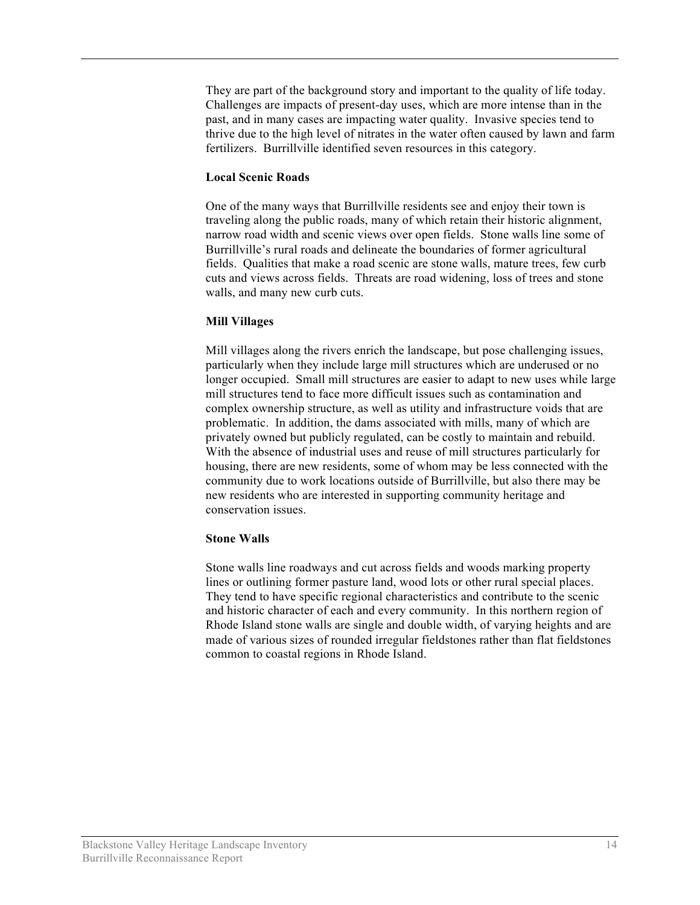They are part of the background story and important to the quality of life today. Challenges are impacts of present-day uses, which are more intense than in the past, and in many cases are impacting water quality. Invasive species tend to thrive due to the high level of nitrates in the water often caused by lawn and farm fertilizers. Burrillville identified seven resources in this category.

#### **Local Scenic Roads**

One of the many ways that Burrillville residents see and enjoy their town is traveling along the public roads, many of which retain their historic alignment, narrow road width and scenic views over open fields. Stone walls line some of Burrillville's rural roads and delineate the boundaries of former agricultural fields. Qualities that make a road scenic are stone walls, mature trees, few curb cuts and views across fields. Threats are road widening, loss of trees and stone walls, and many new curb cuts.

## **Mill Villages**

Mill villages along the rivers enrich the landscape, but pose challenging issues, particularly when they include large mill structures which are underused or no longer occupied. Small mill structures are easier to adapt to new uses while large mill structures tend to face more difficult issues such as contamination and complex ownership structure, as well as utility and infrastructure voids that are problematic. In addition, the dams associated with mills, many of which are privately owned but publicly regulated, can be costly to maintain and rebuild. With the absence of industrial uses and reuse of mill structures particularly for housing, there are new residents, some of whom may be less connected with the community due to work locations outside of Burrillville, but also there may be new residents who are interested in supporting community heritage and conservation issues.

## **Stone Walls**

Stone walls line roadways and cut across fields and woods marking property lines or outlining former pasture land, wood lots or other rural special places. They tend to have specific regional characteristics and contribute to the scenic and historic character of each and every community. In this northern region of Rhode Island stone walls are single and double width, of varying heights and are made of various sizes of rounded irregular fieldstones rather than flat fieldstones common to coastal regions in Rhode Island.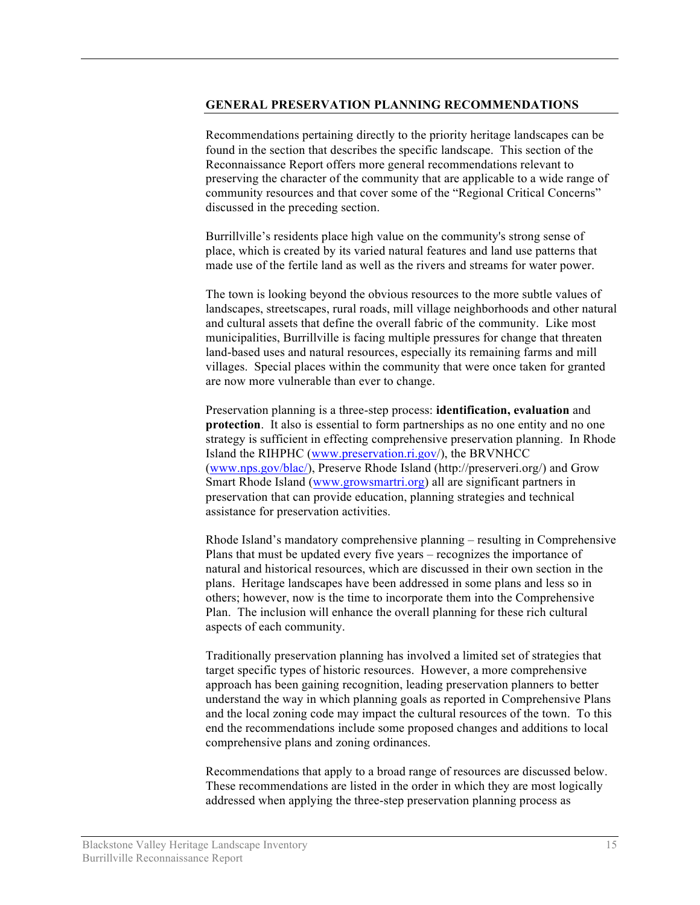#### **GENERAL PRESERVATION PLANNING RECOMMENDATIONS**

Recommendations pertaining directly to the priority heritage landscapes can be found in the section that describes the specific landscape. This section of the Reconnaissance Report offers more general recommendations relevant to preserving the character of the community that are applicable to a wide range of community resources and that cover some of the "Regional Critical Concerns" discussed in the preceding section.

Burrillville's residents place high value on the community's strong sense of place, which is created by its varied natural features and land use patterns that made use of the fertile land as well as the rivers and streams for water power.

The town is looking beyond the obvious resources to the more subtle values of landscapes, streetscapes, rural roads, mill village neighborhoods and other natural and cultural assets that define the overall fabric of the community. Like most municipalities, Burrillville is facing multiple pressures for change that threaten land-based uses and natural resources, especially its remaining farms and mill villages. Special places within the community that were once taken for granted are now more vulnerable than ever to change.

Preservation planning is a three-step process: **identification, evaluation** and **protection**. It also is essential to form partnerships as no one entity and no one strategy is sufficient in effecting comprehensive preservation planning. In Rhode Island the RIHPHC (www.preservation.ri.gov/), the BRVNHCC (www.nps.gov/blac/), Preserve Rhode Island (http://preserveri.org/) and Grow Smart Rhode Island (www.growsmartri.org) all are significant partners in preservation that can provide education, planning strategies and technical assistance for preservation activities.

Rhode Island's mandatory comprehensive planning – resulting in Comprehensive Plans that must be updated every five years – recognizes the importance of natural and historical resources, which are discussed in their own section in the plans. Heritage landscapes have been addressed in some plans and less so in others; however, now is the time to incorporate them into the Comprehensive Plan. The inclusion will enhance the overall planning for these rich cultural aspects of each community.

Traditionally preservation planning has involved a limited set of strategies that target specific types of historic resources. However, a more comprehensive approach has been gaining recognition, leading preservation planners to better understand the way in which planning goals as reported in Comprehensive Plans and the local zoning code may impact the cultural resources of the town. To this end the recommendations include some proposed changes and additions to local comprehensive plans and zoning ordinances.

Recommendations that apply to a broad range of resources are discussed below. These recommendations are listed in the order in which they are most logically addressed when applying the three-step preservation planning process as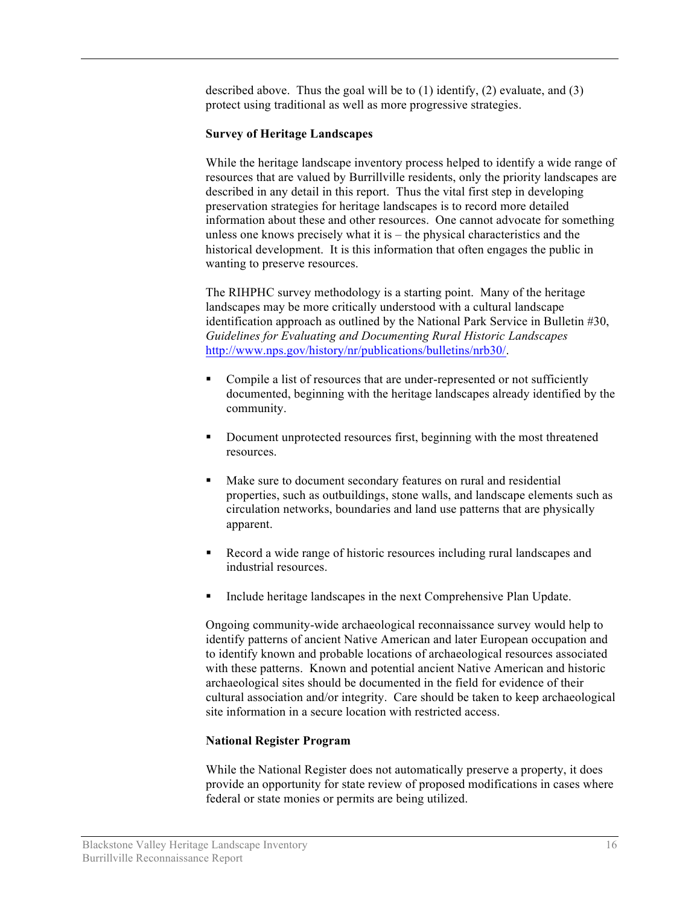described above. Thus the goal will be to  $(1)$  identify,  $(2)$  evaluate, and  $(3)$ protect using traditional as well as more progressive strategies.

#### **Survey of Heritage Landscapes**

While the heritage landscape inventory process helped to identify a wide range of resources that are valued by Burrillville residents, only the priority landscapes are described in any detail in this report. Thus the vital first step in developing preservation strategies for heritage landscapes is to record more detailed information about these and other resources. One cannot advocate for something unless one knows precisely what it is – the physical characteristics and the historical development. It is this information that often engages the public in wanting to preserve resources.

The RIHPHC survey methodology is a starting point. Many of the heritage landscapes may be more critically understood with a cultural landscape identification approach as outlined by the National Park Service in Bulletin #30, *Guidelines for Evaluating and Documenting Rural Historic Landscapes* http://www.nps.gov/history/nr/publications/bulletins/nrb30/.

- Compile a list of resources that are under-represented or not sufficiently documented, beginning with the heritage landscapes already identified by the community.
- Document unprotected resources first, beginning with the most threatened resources.
- Make sure to document secondary features on rural and residential properties, such as outbuildings, stone walls, and landscape elements such as circulation networks, boundaries and land use patterns that are physically apparent.
- Record a wide range of historic resources including rural landscapes and industrial resources.
- **Include heritage landscapes in the next Comprehensive Plan Update.**

Ongoing community-wide archaeological reconnaissance survey would help to identify patterns of ancient Native American and later European occupation and to identify known and probable locations of archaeological resources associated with these patterns. Known and potential ancient Native American and historic archaeological sites should be documented in the field for evidence of their cultural association and/or integrity. Care should be taken to keep archaeological site information in a secure location with restricted access.

#### **National Register Program**

While the National Register does not automatically preserve a property, it does provide an opportunity for state review of proposed modifications in cases where federal or state monies or permits are being utilized.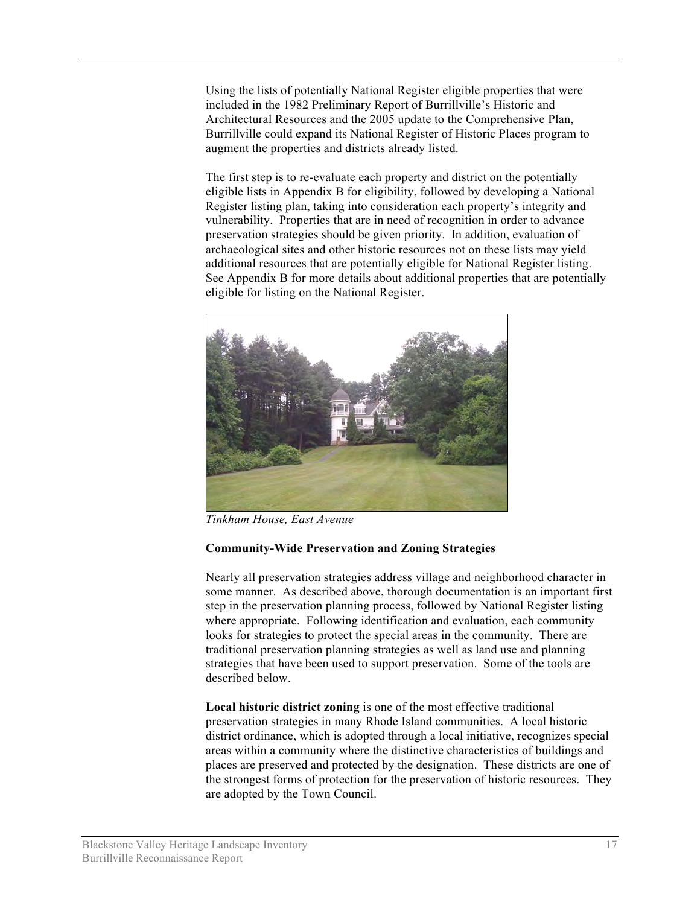Using the lists of potentially National Register eligible properties that were included in the 1982 Preliminary Report of Burrillville's Historic and Architectural Resources and the 2005 update to the Comprehensive Plan, Burrillville could expand its National Register of Historic Places program to augment the properties and districts already listed.

The first step is to re-evaluate each property and district on the potentially eligible lists in Appendix B for eligibility, followed by developing a National Register listing plan, taking into consideration each property's integrity and vulnerability. Properties that are in need of recognition in order to advance preservation strategies should be given priority. In addition, evaluation of archaeological sites and other historic resources not on these lists may yield additional resources that are potentially eligible for National Register listing. See Appendix B for more details about additional properties that are potentially eligible for listing on the National Register.



*Tinkham House, East Avenue*

## **Community-Wide Preservation and Zoning Strategies**

Nearly all preservation strategies address village and neighborhood character in some manner. As described above, thorough documentation is an important first step in the preservation planning process, followed by National Register listing where appropriate. Following identification and evaluation, each community looks for strategies to protect the special areas in the community. There are traditional preservation planning strategies as well as land use and planning strategies that have been used to support preservation. Some of the tools are described below.

**Local historic district zoning** is one of the most effective traditional preservation strategies in many Rhode Island communities. A local historic district ordinance, which is adopted through a local initiative, recognizes special areas within a community where the distinctive characteristics of buildings and places are preserved and protected by the designation. These districts are one of the strongest forms of protection for the preservation of historic resources. They are adopted by the Town Council.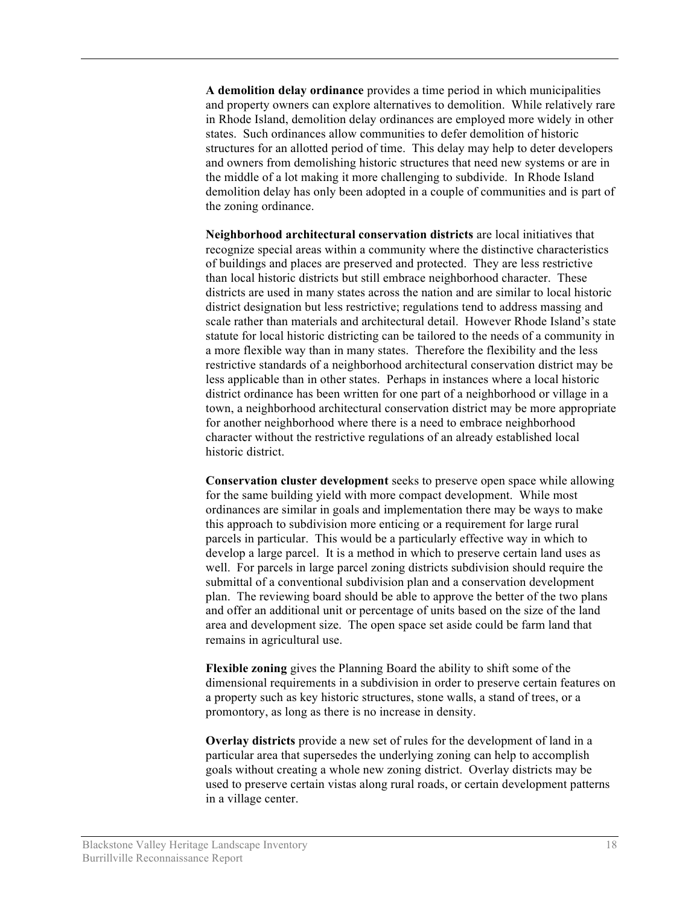**A demolition delay ordinance** provides a time period in which municipalities and property owners can explore alternatives to demolition. While relatively rare in Rhode Island, demolition delay ordinances are employed more widely in other states. Such ordinances allow communities to defer demolition of historic structures for an allotted period of time. This delay may help to deter developers and owners from demolishing historic structures that need new systems or are in the middle of a lot making it more challenging to subdivide. In Rhode Island demolition delay has only been adopted in a couple of communities and is part of the zoning ordinance.

**Neighborhood architectural conservation districts** are local initiatives that recognize special areas within a community where the distinctive characteristics of buildings and places are preserved and protected. They are less restrictive than local historic districts but still embrace neighborhood character. These districts are used in many states across the nation and are similar to local historic district designation but less restrictive; regulations tend to address massing and scale rather than materials and architectural detail. However Rhode Island's state statute for local historic districting can be tailored to the needs of a community in a more flexible way than in many states. Therefore the flexibility and the less restrictive standards of a neighborhood architectural conservation district may be less applicable than in other states. Perhaps in instances where a local historic district ordinance has been written for one part of a neighborhood or village in a town, a neighborhood architectural conservation district may be more appropriate for another neighborhood where there is a need to embrace neighborhood character without the restrictive regulations of an already established local historic district.

**Conservation cluster development** seeks to preserve open space while allowing for the same building yield with more compact development. While most ordinances are similar in goals and implementation there may be ways to make this approach to subdivision more enticing or a requirement for large rural parcels in particular. This would be a particularly effective way in which to develop a large parcel. It is a method in which to preserve certain land uses as well. For parcels in large parcel zoning districts subdivision should require the submittal of a conventional subdivision plan and a conservation development plan. The reviewing board should be able to approve the better of the two plans and offer an additional unit or percentage of units based on the size of the land area and development size. The open space set aside could be farm land that remains in agricultural use.

**Flexible zoning** gives the Planning Board the ability to shift some of the dimensional requirements in a subdivision in order to preserve certain features on a property such as key historic structures, stone walls, a stand of trees, or a promontory, as long as there is no increase in density.

**Overlay districts** provide a new set of rules for the development of land in a particular area that supersedes the underlying zoning can help to accomplish goals without creating a whole new zoning district. Overlay districts may be used to preserve certain vistas along rural roads, or certain development patterns in a village center.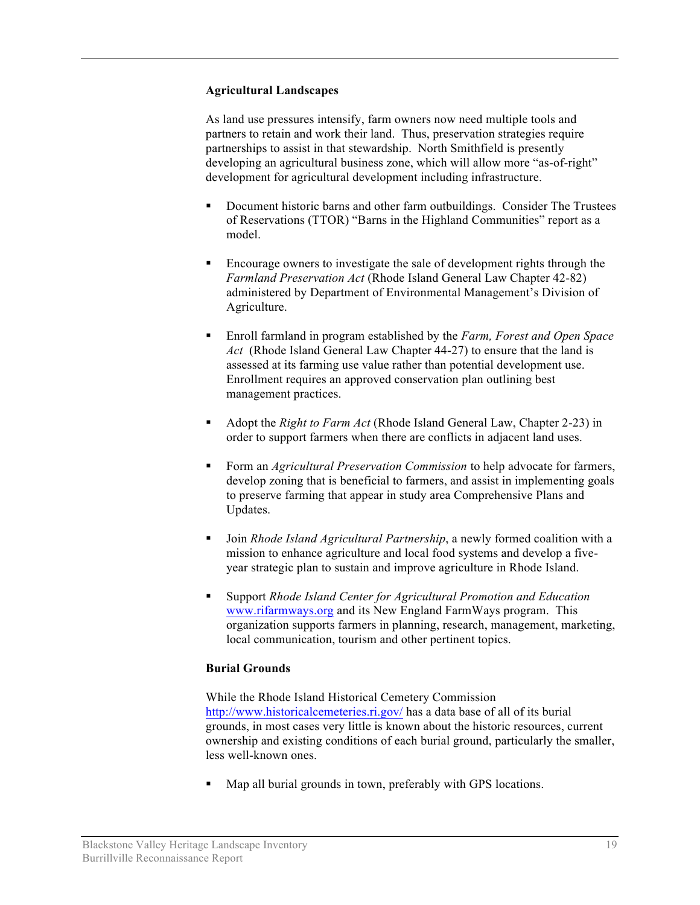## **Agricultural Landscapes**

As land use pressures intensify, farm owners now need multiple tools and partners to retain and work their land. Thus, preservation strategies require partnerships to assist in that stewardship. North Smithfield is presently developing an agricultural business zone, which will allow more "as-of-right" development for agricultural development including infrastructure.

- Document historic barns and other farm outbuildings. Consider The Trustees of Reservations (TTOR) "Barns in the Highland Communities" report as a model.
- Encourage owners to investigate the sale of development rights through the *Farmland Preservation Act* (Rhode Island General Law Chapter 42-82) administered by Department of Environmental Management's Division of Agriculture.
- Enroll farmland in program established by the *Farm, Forest and Open Space Act* (Rhode Island General Law Chapter 44-27) to ensure that the land is assessed at its farming use value rather than potential development use. Enrollment requires an approved conservation plan outlining best management practices.
- Adopt the *Right to Farm Act* (Rhode Island General Law, Chapter 2-23) in order to support farmers when there are conflicts in adjacent land uses.
- Form an *Agricultural Preservation Commission* to help advocate for farmers, develop zoning that is beneficial to farmers, and assist in implementing goals to preserve farming that appear in study area Comprehensive Plans and Updates.
- Join *Rhode Island Agricultural Partnership*, a newly formed coalition with a mission to enhance agriculture and local food systems and develop a fiveyear strategic plan to sustain and improve agriculture in Rhode Island.
- Support *Rhode Island Center for Agricultural Promotion and Education* www.rifarmways.org and its New England FarmWays program. This organization supports farmers in planning, research, management, marketing, local communication, tourism and other pertinent topics.

## **Burial Grounds**

While the Rhode Island Historical Cemetery Commission http://www.historicalcemeteries.ri.gov/ has a data base of all of its burial grounds, in most cases very little is known about the historic resources, current ownership and existing conditions of each burial ground, particularly the smaller, less well-known ones.

**Map all burial grounds in town, preferably with GPS locations.**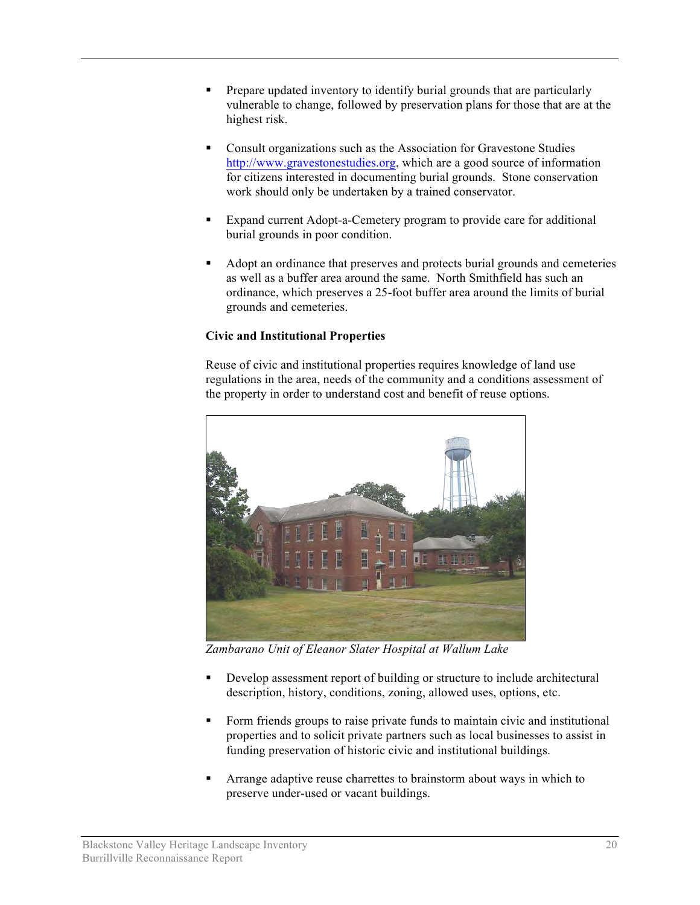- Prepare updated inventory to identify burial grounds that are particularly vulnerable to change, followed by preservation plans for those that are at the highest risk.
- Consult organizations such as the Association for Gravestone Studies http://www.gravestonestudies.org, which are a good source of information for citizens interested in documenting burial grounds. Stone conservation work should only be undertaken by a trained conservator.
- Expand current Adopt-a-Cemetery program to provide care for additional burial grounds in poor condition.
- Adopt an ordinance that preserves and protects burial grounds and cemeteries as well as a buffer area around the same. North Smithfield has such an ordinance, which preserves a 25-foot buffer area around the limits of burial grounds and cemeteries.

# **Civic and Institutional Properties**

Reuse of civic and institutional properties requires knowledge of land use regulations in the area, needs of the community and a conditions assessment of the property in order to understand cost and benefit of reuse options.



*Zambarano Unit of Eleanor Slater Hospital at Wallum Lake*

- Develop assessment report of building or structure to include architectural description, history, conditions, zoning, allowed uses, options, etc.
- Form friends groups to raise private funds to maintain civic and institutional properties and to solicit private partners such as local businesses to assist in funding preservation of historic civic and institutional buildings.
- Arrange adaptive reuse charrettes to brainstorm about ways in which to preserve under-used or vacant buildings.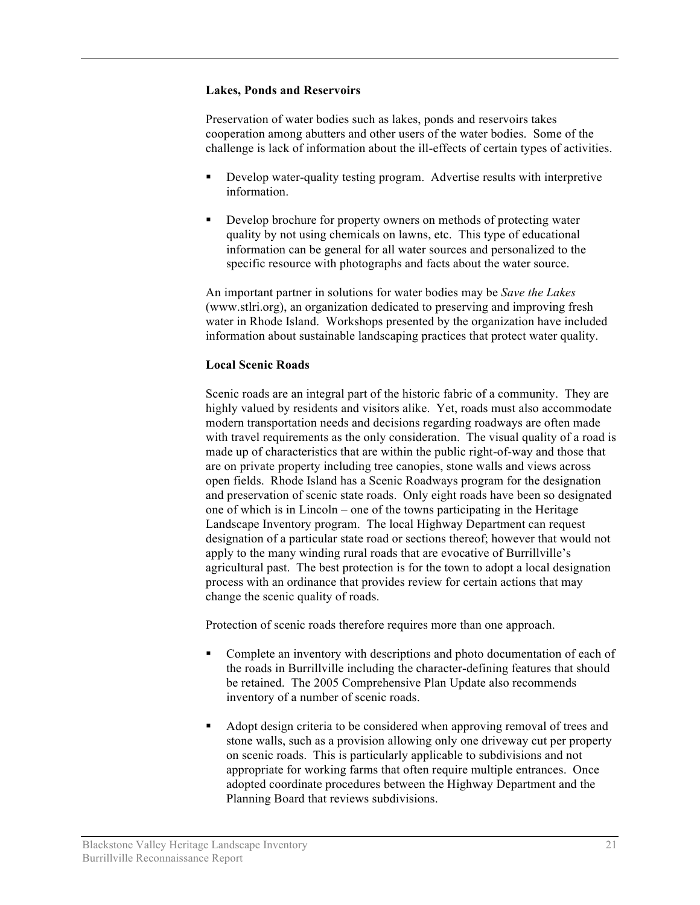#### **Lakes, Ponds and Reservoirs**

Preservation of water bodies such as lakes, ponds and reservoirs takes cooperation among abutters and other users of the water bodies. Some of the challenge is lack of information about the ill-effects of certain types of activities.

- Develop water-quality testing program. Advertise results with interpretive information.
- Develop brochure for property owners on methods of protecting water quality by not using chemicals on lawns, etc. This type of educational information can be general for all water sources and personalized to the specific resource with photographs and facts about the water source.

An important partner in solutions for water bodies may be *Save the Lakes* (www.stlri.org), an organization dedicated to preserving and improving fresh water in Rhode Island. Workshops presented by the organization have included information about sustainable landscaping practices that protect water quality.

## **Local Scenic Roads**

Scenic roads are an integral part of the historic fabric of a community. They are highly valued by residents and visitors alike. Yet, roads must also accommodate modern transportation needs and decisions regarding roadways are often made with travel requirements as the only consideration. The visual quality of a road is made up of characteristics that are within the public right-of-way and those that are on private property including tree canopies, stone walls and views across open fields. Rhode Island has a Scenic Roadways program for the designation and preservation of scenic state roads. Only eight roads have been so designated one of which is in Lincoln – one of the towns participating in the Heritage Landscape Inventory program. The local Highway Department can request designation of a particular state road or sections thereof; however that would not apply to the many winding rural roads that are evocative of Burrillville's agricultural past. The best protection is for the town to adopt a local designation process with an ordinance that provides review for certain actions that may change the scenic quality of roads.

Protection of scenic roads therefore requires more than one approach.

- Complete an inventory with descriptions and photo documentation of each of the roads in Burrillville including the character-defining features that should be retained. The 2005 Comprehensive Plan Update also recommends inventory of a number of scenic roads.
- Adopt design criteria to be considered when approving removal of trees and stone walls, such as a provision allowing only one driveway cut per property on scenic roads. This is particularly applicable to subdivisions and not appropriate for working farms that often require multiple entrances. Once adopted coordinate procedures between the Highway Department and the Planning Board that reviews subdivisions.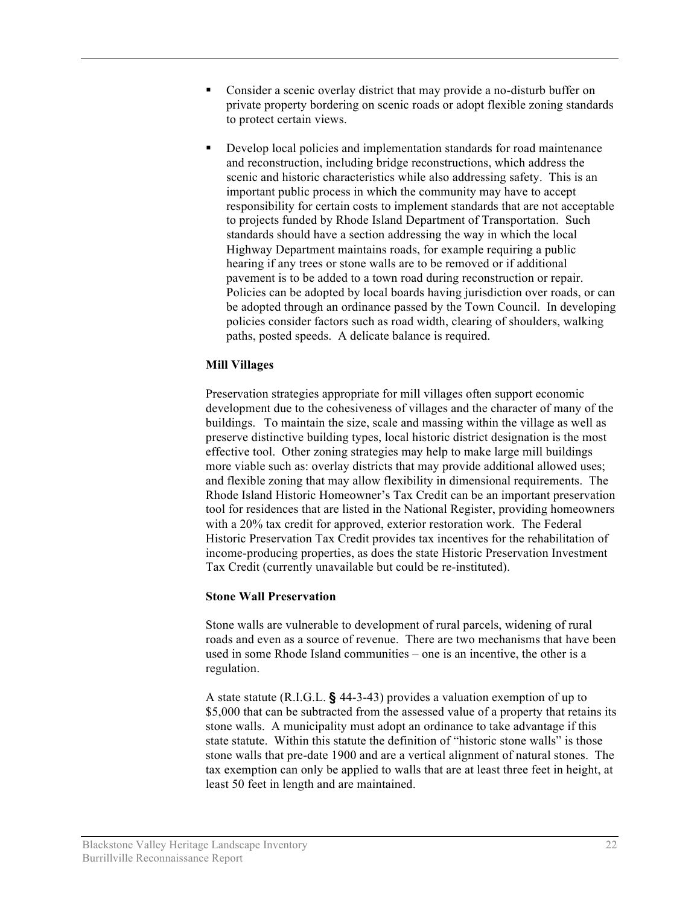- Consider a scenic overlay district that may provide a no-disturb buffer on private property bordering on scenic roads or adopt flexible zoning standards to protect certain views.
- Develop local policies and implementation standards for road maintenance and reconstruction, including bridge reconstructions, which address the scenic and historic characteristics while also addressing safety. This is an important public process in which the community may have to accept responsibility for certain costs to implement standards that are not acceptable to projects funded by Rhode Island Department of Transportation. Such standards should have a section addressing the way in which the local Highway Department maintains roads, for example requiring a public hearing if any trees or stone walls are to be removed or if additional pavement is to be added to a town road during reconstruction or repair. Policies can be adopted by local boards having jurisdiction over roads, or can be adopted through an ordinance passed by the Town Council. In developing policies consider factors such as road width, clearing of shoulders, walking paths, posted speeds. A delicate balance is required.

## **Mill Villages**

Preservation strategies appropriate for mill villages often support economic development due to the cohesiveness of villages and the character of many of the buildings. To maintain the size, scale and massing within the village as well as preserve distinctive building types, local historic district designation is the most effective tool. Other zoning strategies may help to make large mill buildings more viable such as: overlay districts that may provide additional allowed uses; and flexible zoning that may allow flexibility in dimensional requirements. The Rhode Island Historic Homeowner's Tax Credit can be an important preservation tool for residences that are listed in the National Register, providing homeowners with a 20% tax credit for approved, exterior restoration work. The Federal Historic Preservation Tax Credit provides tax incentives for the rehabilitation of income-producing properties, as does the state Historic Preservation Investment Tax Credit (currently unavailable but could be re-instituted).

## **Stone Wall Preservation**

Stone walls are vulnerable to development of rural parcels, widening of rural roads and even as a source of revenue. There are two mechanisms that have been used in some Rhode Island communities – one is an incentive, the other is a regulation.

A state statute (R.I.G.L. **§** 44-3-43) provides a valuation exemption of up to \$5,000 that can be subtracted from the assessed value of a property that retains its stone walls. A municipality must adopt an ordinance to take advantage if this state statute. Within this statute the definition of "historic stone walls" is those stone walls that pre-date 1900 and are a vertical alignment of natural stones. The tax exemption can only be applied to walls that are at least three feet in height, at least 50 feet in length and are maintained.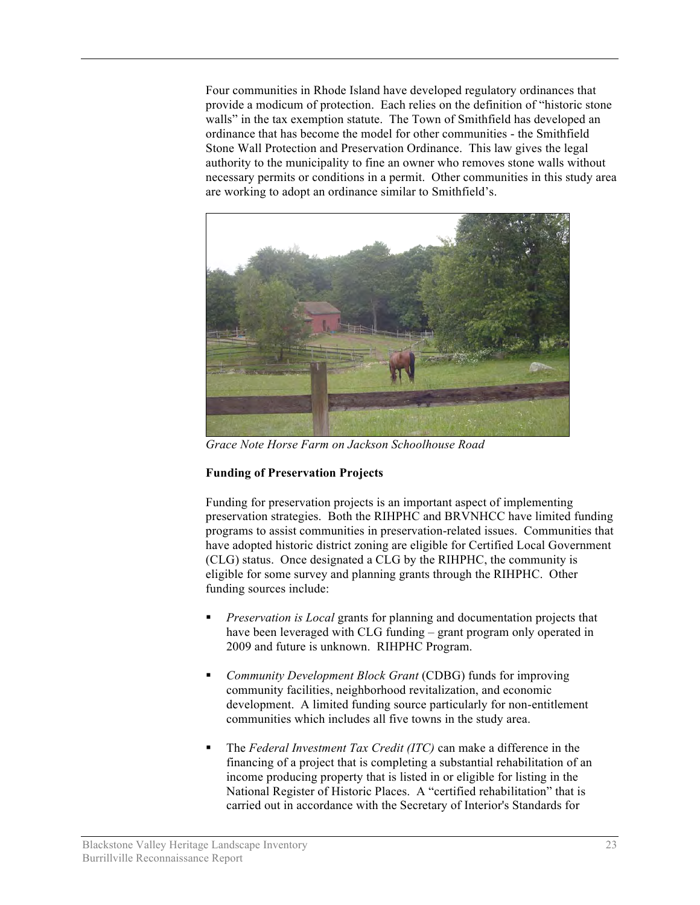Four communities in Rhode Island have developed regulatory ordinances that provide a modicum of protection. Each relies on the definition of "historic stone walls" in the tax exemption statute. The Town of Smithfield has developed an ordinance that has become the model for other communities - the Smithfield Stone Wall Protection and Preservation Ordinance. This law gives the legal authority to the municipality to fine an owner who removes stone walls without necessary permits or conditions in a permit. Other communities in this study area are working to adopt an ordinance similar to Smithfield's.



*Grace Note Horse Farm on Jackson Schoolhouse Road*

## **Funding of Preservation Projects**

Funding for preservation projects is an important aspect of implementing preservation strategies. Both the RIHPHC and BRVNHCC have limited funding programs to assist communities in preservation-related issues. Communities that have adopted historic district zoning are eligible for Certified Local Government (CLG) status. Once designated a CLG by the RIHPHC, the community is eligible for some survey and planning grants through the RIHPHC. Other funding sources include:

- *Preservation is Local* grants for planning and documentation projects that have been leveraged with CLG funding – grant program only operated in 2009 and future is unknown. RIHPHC Program.
- *Community Development Block Grant* (CDBG) funds for improving community facilities, neighborhood revitalization, and economic development. A limited funding source particularly for non-entitlement communities which includes all five towns in the study area.
- The *Federal Investment Tax Credit (ITC)* can make a difference in the financing of a project that is completing a substantial rehabilitation of an income producing property that is listed in or eligible for listing in the National Register of Historic Places. A "certified rehabilitation" that is carried out in accordance with the Secretary of Interior's Standards for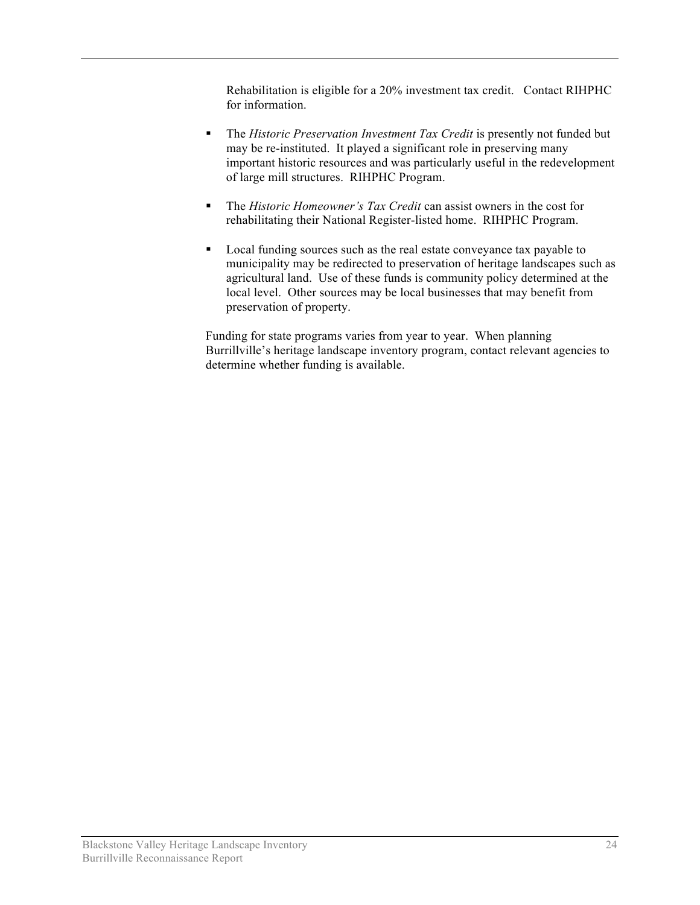Rehabilitation is eligible for a 20% investment tax credit. Contact RIHPHC for information.

- The *Historic Preservation Investment Tax Credit* is presently not funded but may be re-instituted. It played a significant role in preserving many important historic resources and was particularly useful in the redevelopment of large mill structures. RIHPHC Program.
- The *Historic Homeowner's Tax Credit* can assist owners in the cost for rehabilitating their National Register-listed home. RIHPHC Program.
- Local funding sources such as the real estate conveyance tax payable to municipality may be redirected to preservation of heritage landscapes such as agricultural land. Use of these funds is community policy determined at the local level. Other sources may be local businesses that may benefit from preservation of property.

Funding for state programs varies from year to year. When planning Burrillville's heritage landscape inventory program, contact relevant agencies to determine whether funding is available.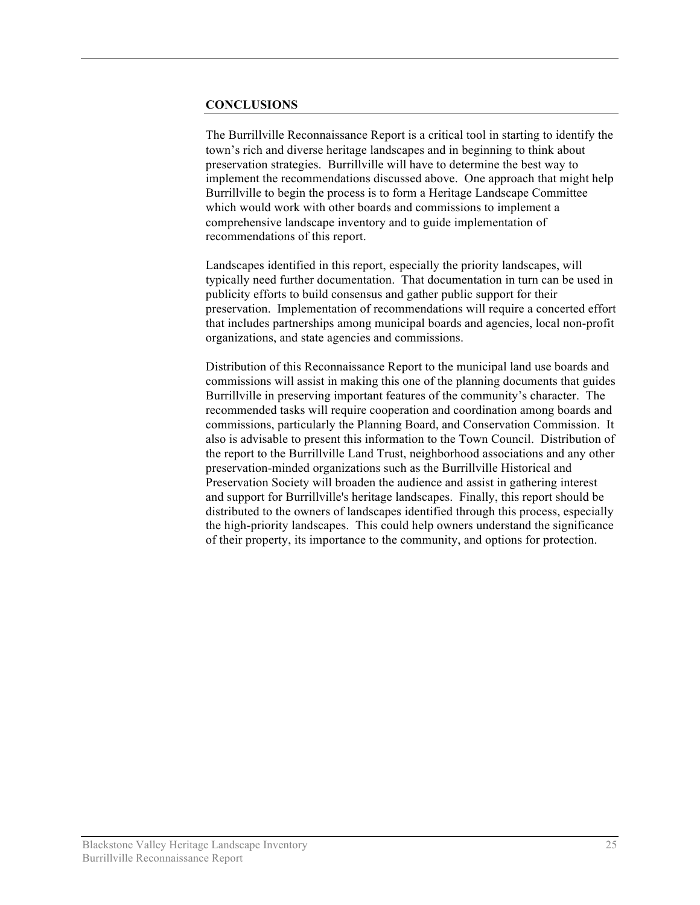#### **CONCLUSIONS**

The Burrillville Reconnaissance Report is a critical tool in starting to identify the town's rich and diverse heritage landscapes and in beginning to think about preservation strategies. Burrillville will have to determine the best way to implement the recommendations discussed above. One approach that might help Burrillville to begin the process is to form a Heritage Landscape Committee which would work with other boards and commissions to implement a comprehensive landscape inventory and to guide implementation of recommendations of this report.

Landscapes identified in this report, especially the priority landscapes, will typically need further documentation. That documentation in turn can be used in publicity efforts to build consensus and gather public support for their preservation. Implementation of recommendations will require a concerted effort that includes partnerships among municipal boards and agencies, local non-profit organizations, and state agencies and commissions.

Distribution of this Reconnaissance Report to the municipal land use boards and commissions will assist in making this one of the planning documents that guides Burrillville in preserving important features of the community's character. The recommended tasks will require cooperation and coordination among boards and commissions, particularly the Planning Board, and Conservation Commission. It also is advisable to present this information to the Town Council. Distribution of the report to the Burrillville Land Trust, neighborhood associations and any other preservation-minded organizations such as the Burrillville Historical and Preservation Society will broaden the audience and assist in gathering interest and support for Burrillville's heritage landscapes. Finally, this report should be distributed to the owners of landscapes identified through this process, especially the high-priority landscapes. This could help owners understand the significance of their property, its importance to the community, and options for protection.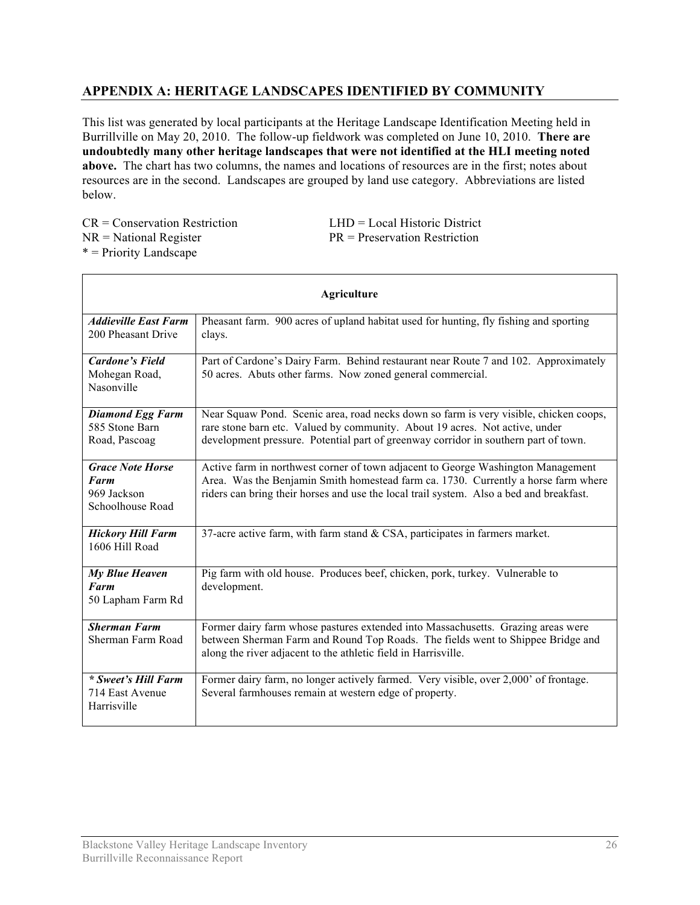# **APPENDIX A: HERITAGE LANDSCAPES IDENTIFIED BY COMMUNITY**

This list was generated by local participants at the Heritage Landscape Identification Meeting held in Burrillville on May 20, 2010. The follow-up fieldwork was completed on June 10, 2010. **There are undoubtedly many other heritage landscapes that were not identified at the HLI meeting noted above.** The chart has two columns, the names and locations of resources are in the first; notes about resources are in the second. Landscapes are grouped by land use category. Abbreviations are listed below.

 $CR = Conservation$  Restriction  $LHD = Local Histo$  District \* = Priority Landscape

 $NR = National Register$   $PR = preservation Restriction$ 

| <b>Agriculture</b>                                                        |                                                                                                                                                                                                                                                                   |  |
|---------------------------------------------------------------------------|-------------------------------------------------------------------------------------------------------------------------------------------------------------------------------------------------------------------------------------------------------------------|--|
| <b>Addieville East Farm</b><br>200 Pheasant Drive                         | Pheasant farm. 900 acres of upland habitat used for hunting, fly fishing and sporting<br>clays.                                                                                                                                                                   |  |
| <b>Cardone's Field</b><br>Mohegan Road,<br>Nasonville                     | Part of Cardone's Dairy Farm. Behind restaurant near Route 7 and 102. Approximately<br>50 acres. Abuts other farms. Now zoned general commercial.                                                                                                                 |  |
| <b>Diamond Egg Farm</b><br>585 Stone Barn<br>Road, Pascoag                | Near Squaw Pond. Scenic area, road necks down so farm is very visible, chicken coops,<br>rare stone barn etc. Valued by community. About 19 acres. Not active, under<br>development pressure. Potential part of greenway corridor in southern part of town.       |  |
| <b>Grace Note Horse</b><br><b>Farm</b><br>969 Jackson<br>Schoolhouse Road | Active farm in northwest corner of town adjacent to George Washington Management<br>Area. Was the Benjamin Smith homestead farm ca. 1730. Currently a horse farm where<br>riders can bring their horses and use the local trail system. Also a bed and breakfast. |  |
| <b>Hickory Hill Farm</b><br>1606 Hill Road                                | 37-acre active farm, with farm stand $&$ CSA, participates in farmers market.                                                                                                                                                                                     |  |
| <b>My Blue Heaven</b><br>Farm<br>50 Lapham Farm Rd                        | Pig farm with old house. Produces beef, chicken, pork, turkey. Vulnerable to<br>development.                                                                                                                                                                      |  |
| <b>Sherman Farm</b><br>Sherman Farm Road                                  | Former dairy farm whose pastures extended into Massachusetts. Grazing areas were<br>between Sherman Farm and Round Top Roads. The fields went to Shippee Bridge and<br>along the river adjacent to the athletic field in Harrisville.                             |  |
| * Sweet's Hill Farm<br>714 East Avenue<br>Harrisville                     | Former dairy farm, no longer actively farmed. Very visible, over 2,000' of frontage.<br>Several farmhouses remain at western edge of property.                                                                                                                    |  |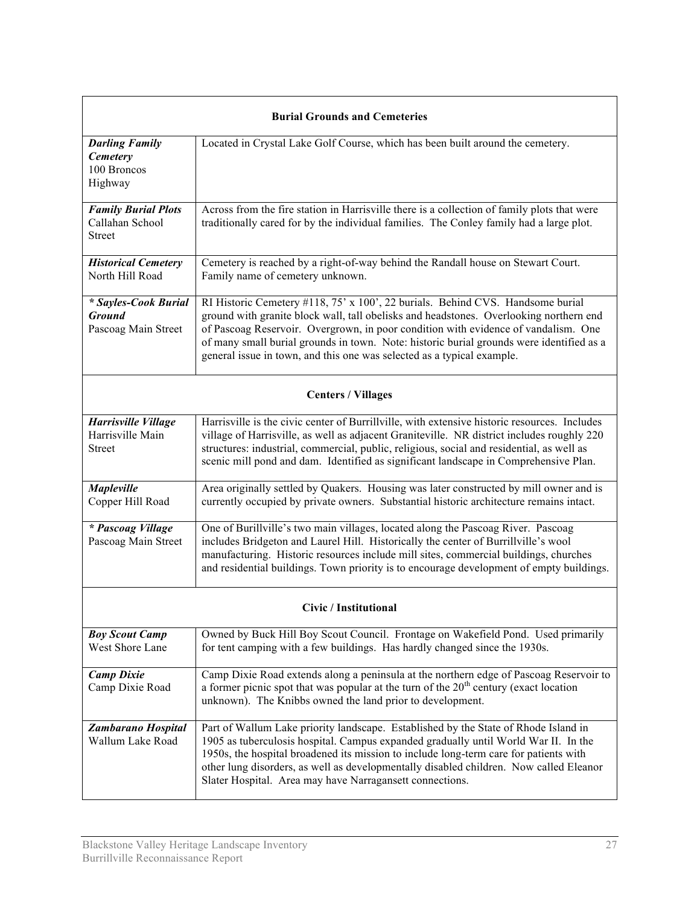| <b>Burial Grounds and Cemeteries</b>                            |                                                                                                                                                                                                                                                                                                                                                                                                                                      |  |
|-----------------------------------------------------------------|--------------------------------------------------------------------------------------------------------------------------------------------------------------------------------------------------------------------------------------------------------------------------------------------------------------------------------------------------------------------------------------------------------------------------------------|--|
| <b>Darling Family</b><br>Cemetery<br>100 Broncos<br>Highway     | Located in Crystal Lake Golf Course, which has been built around the cemetery.                                                                                                                                                                                                                                                                                                                                                       |  |
| <b>Family Burial Plots</b><br>Callahan School<br><b>Street</b>  | Across from the fire station in Harrisville there is a collection of family plots that were<br>traditionally cared for by the individual families. The Conley family had a large plot.                                                                                                                                                                                                                                               |  |
| <b>Historical Cemetery</b><br>North Hill Road                   | Cemetery is reached by a right-of-way behind the Randall house on Stewart Court.<br>Family name of cemetery unknown.                                                                                                                                                                                                                                                                                                                 |  |
| * Sayles-Cook Burial<br><b>Ground</b><br>Pascoag Main Street    | RI Historic Cemetery #118, 75' x 100', 22 burials. Behind CVS. Handsome burial<br>ground with granite block wall, tall obelisks and headstones. Overlooking northern end<br>of Pascoag Reservoir. Overgrown, in poor condition with evidence of vandalism. One<br>of many small burial grounds in town. Note: historic burial grounds were identified as a<br>general issue in town, and this one was selected as a typical example. |  |
|                                                                 | <b>Centers / Villages</b>                                                                                                                                                                                                                                                                                                                                                                                                            |  |
| <b>Harrisville Village</b><br>Harrisville Main<br><b>Street</b> | Harrisville is the civic center of Burrillville, with extensive historic resources. Includes<br>village of Harrisville, as well as adjacent Graniteville. NR district includes roughly 220<br>structures: industrial, commercial, public, religious, social and residential, as well as<br>scenic mill pond and dam. Identified as significant landscape in Comprehensive Plan.                                                      |  |
| <b>Mapleville</b><br>Copper Hill Road                           | Area originally settled by Quakers. Housing was later constructed by mill owner and is<br>currently occupied by private owners. Substantial historic architecture remains intact.                                                                                                                                                                                                                                                    |  |
| * Pascoag Village<br>Pascoag Main Street                        | One of Burillville's two main villages, located along the Pascoag River. Pascoag<br>includes Bridgeton and Laurel Hill. Historically the center of Burrillville's wool<br>manufacturing. Historic resources include mill sites, commercial buildings, churches<br>and residential buildings. Town priority is to encourage development of empty buildings.                                                                           |  |
| Civic / Institutional                                           |                                                                                                                                                                                                                                                                                                                                                                                                                                      |  |
| <b>Boy Scout Camp</b><br>West Shore Lane                        | Owned by Buck Hill Boy Scout Council. Frontage on Wakefield Pond. Used primarily<br>for tent camping with a few buildings. Has hardly changed since the 1930s.                                                                                                                                                                                                                                                                       |  |
| <b>Camp Dixie</b><br>Camp Dixie Road                            | Camp Dixie Road extends along a peninsula at the northern edge of Pascoag Reservoir to<br>a former picnic spot that was popular at the turn of the $20th$ century (exact location<br>unknown). The Knibbs owned the land prior to development.                                                                                                                                                                                       |  |
| Zambarano Hospital<br>Wallum Lake Road                          | Part of Wallum Lake priority landscape. Established by the State of Rhode Island in<br>1905 as tuberculosis hospital. Campus expanded gradually until World War II. In the<br>1950s, the hospital broadened its mission to include long-term care for patients with<br>other lung disorders, as well as developmentally disabled children. Now called Eleanor<br>Slater Hospital. Area may have Narragansett connections.            |  |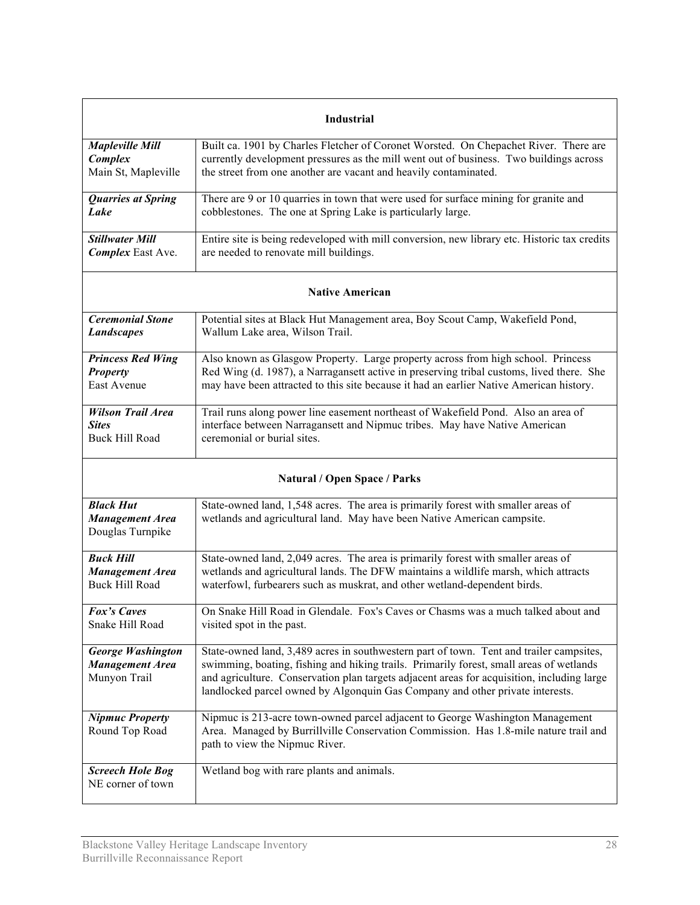| <b>Industrial</b>                                                  |                                                                                                                                                                                                                                                                                                                                                                   |  |
|--------------------------------------------------------------------|-------------------------------------------------------------------------------------------------------------------------------------------------------------------------------------------------------------------------------------------------------------------------------------------------------------------------------------------------------------------|--|
| <b>Mapleville Mill</b>                                             | Built ca. 1901 by Charles Fletcher of Coronet Worsted. On Chepachet River. There are                                                                                                                                                                                                                                                                              |  |
| Complex                                                            | currently development pressures as the mill went out of business. Two buildings across                                                                                                                                                                                                                                                                            |  |
| Main St, Mapleville                                                | the street from one another are vacant and heavily contaminated.                                                                                                                                                                                                                                                                                                  |  |
| <b>Quarries at Spring</b>                                          | There are 9 or 10 quarries in town that were used for surface mining for granite and                                                                                                                                                                                                                                                                              |  |
| Lake                                                               | cobblestones. The one at Spring Lake is particularly large.                                                                                                                                                                                                                                                                                                       |  |
| <b>Stillwater Mill</b>                                             | Entire site is being redeveloped with mill conversion, new library etc. Historic tax credits                                                                                                                                                                                                                                                                      |  |
| <b>Complex</b> East Ave.                                           | are needed to renovate mill buildings.                                                                                                                                                                                                                                                                                                                            |  |
| <b>Native American</b>                                             |                                                                                                                                                                                                                                                                                                                                                                   |  |
| <b>Ceremonial Stone</b>                                            | Potential sites at Black Hut Management area, Boy Scout Camp, Wakefield Pond,                                                                                                                                                                                                                                                                                     |  |
| <b>Landscapes</b>                                                  | Wallum Lake area, Wilson Trail.                                                                                                                                                                                                                                                                                                                                   |  |
| <b>Princess Red Wing</b>                                           | Also known as Glasgow Property. Large property across from high school. Princess                                                                                                                                                                                                                                                                                  |  |
| <b>Property</b>                                                    | Red Wing (d. 1987), a Narragansett active in preserving tribal customs, lived there. She                                                                                                                                                                                                                                                                          |  |
| East Avenue                                                        | may have been attracted to this site because it had an earlier Native American history.                                                                                                                                                                                                                                                                           |  |
| <b>Wilson Trail Area</b>                                           | Trail runs along power line easement northeast of Wakefield Pond. Also an area of                                                                                                                                                                                                                                                                                 |  |
| <b>Sites</b>                                                       | interface between Narragansett and Nipmuc tribes. May have Native American                                                                                                                                                                                                                                                                                        |  |
| <b>Buck Hill Road</b>                                              | ceremonial or burial sites.                                                                                                                                                                                                                                                                                                                                       |  |
| <b>Natural / Open Space / Parks</b>                                |                                                                                                                                                                                                                                                                                                                                                                   |  |
| <b>Black Hut</b><br><b>Management Area</b><br>Douglas Turnpike     | State-owned land, 1,548 acres. The area is primarily forest with smaller areas of<br>wetlands and agricultural land. May have been Native American campsite.                                                                                                                                                                                                      |  |
| <b>Buck Hill</b>                                                   | State-owned land, 2,049 acres. The area is primarily forest with smaller areas of                                                                                                                                                                                                                                                                                 |  |
| <b>Management Area</b>                                             | wetlands and agricultural lands. The DFW maintains a wildlife marsh, which attracts                                                                                                                                                                                                                                                                               |  |
| <b>Buck Hill Road</b>                                              | waterfowl, furbearers such as muskrat, and other wetland-dependent birds.                                                                                                                                                                                                                                                                                         |  |
| Fox's Caves                                                        | On Snake Hill Road in Glendale. Fox's Caves or Chasms was a much talked about and                                                                                                                                                                                                                                                                                 |  |
| Snake Hill Road                                                    | visited spot in the past.                                                                                                                                                                                                                                                                                                                                         |  |
| <b>George Washington</b><br><b>Management Area</b><br>Munyon Trail | State-owned land, 3,489 acres in southwestern part of town. Tent and trailer campsites,<br>swimming, boating, fishing and hiking trails. Primarily forest, small areas of wetlands<br>and agriculture. Conservation plan targets adjacent areas for acquisition, including large<br>landlocked parcel owned by Algonquin Gas Company and other private interests. |  |
| <b>Nipmuc Property</b><br>Round Top Road                           | Nipmuc is 213-acre town-owned parcel adjacent to George Washington Management<br>Area. Managed by Burrillville Conservation Commission. Has 1.8-mile nature trail and<br>path to view the Nipmuc River.                                                                                                                                                           |  |
| <b>Screech Hole Bog</b><br>NE corner of town                       | Wetland bog with rare plants and animals.                                                                                                                                                                                                                                                                                                                         |  |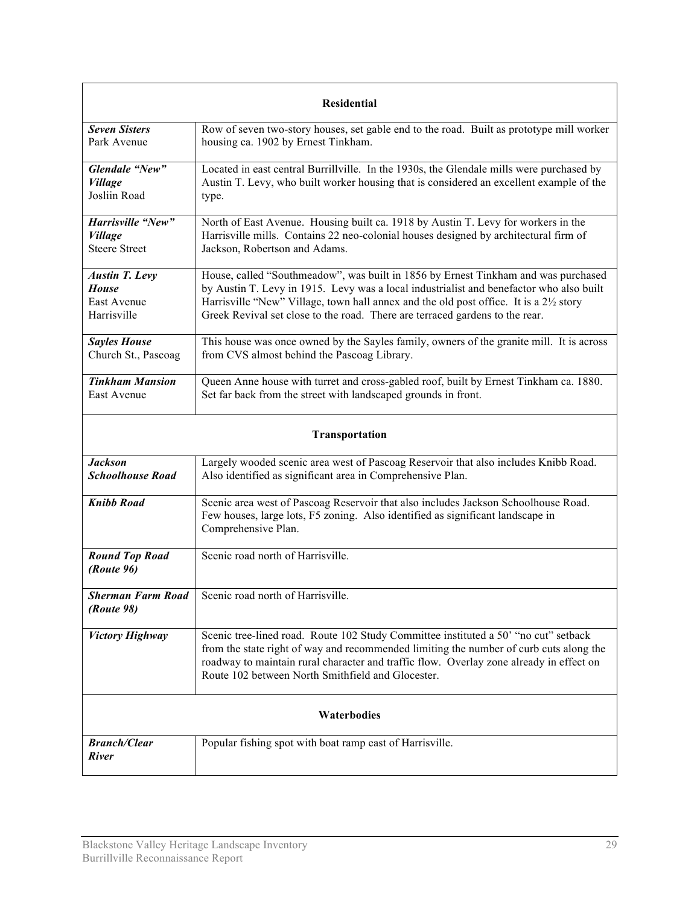| <b>Residential</b>                                                  |                                                                                                                                                                                                                                                                                                                                                                                  |  |
|---------------------------------------------------------------------|----------------------------------------------------------------------------------------------------------------------------------------------------------------------------------------------------------------------------------------------------------------------------------------------------------------------------------------------------------------------------------|--|
| <b>Seven Sisters</b><br>Park Avenue                                 | Row of seven two-story houses, set gable end to the road. Built as prototype mill worker<br>housing ca. 1902 by Ernest Tinkham.                                                                                                                                                                                                                                                  |  |
| Glendale "New"<br><b>Village</b><br>Josliin Road                    | Located in east central Burrillville. In the 1930s, the Glendale mills were purchased by<br>Austin T. Levy, who built worker housing that is considered an excellent example of the<br>type.                                                                                                                                                                                     |  |
| Harrisville "New"<br><b>Village</b><br><b>Steere Street</b>         | North of East Avenue. Housing built ca. 1918 by Austin T. Levy for workers in the<br>Harrisville mills. Contains 22 neo-colonial houses designed by architectural firm of<br>Jackson, Robertson and Adams.                                                                                                                                                                       |  |
| <b>Austin T. Levy</b><br><b>House</b><br>East Avenue<br>Harrisville | House, called "Southmeadow", was built in 1856 by Ernest Tinkham and was purchased<br>by Austin T. Levy in 1915. Levy was a local industrialist and benefactor who also built<br>Harrisville "New" Village, town hall annex and the old post office. It is a 2 <sup>1</sup> / <sub>2</sub> story<br>Greek Revival set close to the road. There are terraced gardens to the rear. |  |
| <b>Sayles House</b><br>Church St., Pascoag                          | This house was once owned by the Sayles family, owners of the granite mill. It is across<br>from CVS almost behind the Pascoag Library.                                                                                                                                                                                                                                          |  |
| <b>Tinkham Mansion</b><br>East Avenue                               | Queen Anne house with turret and cross-gabled roof, built by Ernest Tinkham ca. 1880.<br>Set far back from the street with landscaped grounds in front.                                                                                                                                                                                                                          |  |
| Transportation                                                      |                                                                                                                                                                                                                                                                                                                                                                                  |  |
| <b>Jackson</b><br><b>Schoolhouse Road</b>                           | Largely wooded scenic area west of Pascoag Reservoir that also includes Knibb Road.<br>Also identified as significant area in Comprehensive Plan.                                                                                                                                                                                                                                |  |
| <b>Knibb Road</b>                                                   | Scenic area west of Pascoag Reservoir that also includes Jackson Schoolhouse Road.<br>Few houses, large lots, F5 zoning. Also identified as significant landscape in<br>Comprehensive Plan.                                                                                                                                                                                      |  |
| <b>Round Top Road</b><br>(Route 96)                                 | Scenic road north of Harrisville.                                                                                                                                                                                                                                                                                                                                                |  |
| <b>Sherman Farm Road</b><br><i>(Route 98)</i>                       | Scenic road north of Harrisville.                                                                                                                                                                                                                                                                                                                                                |  |
| <b>Victory Highway</b>                                              | Scenic tree-lined road. Route 102 Study Committee instituted a 50' "no cut" setback<br>from the state right of way and recommended limiting the number of curb cuts along the<br>roadway to maintain rural character and traffic flow. Overlay zone already in effect on<br>Route 102 between North Smithfield and Glocester.                                                    |  |
| Waterbodies                                                         |                                                                                                                                                                                                                                                                                                                                                                                  |  |
| <b>Branch/Clear</b><br><b>River</b>                                 | Popular fishing spot with boat ramp east of Harrisville.                                                                                                                                                                                                                                                                                                                         |  |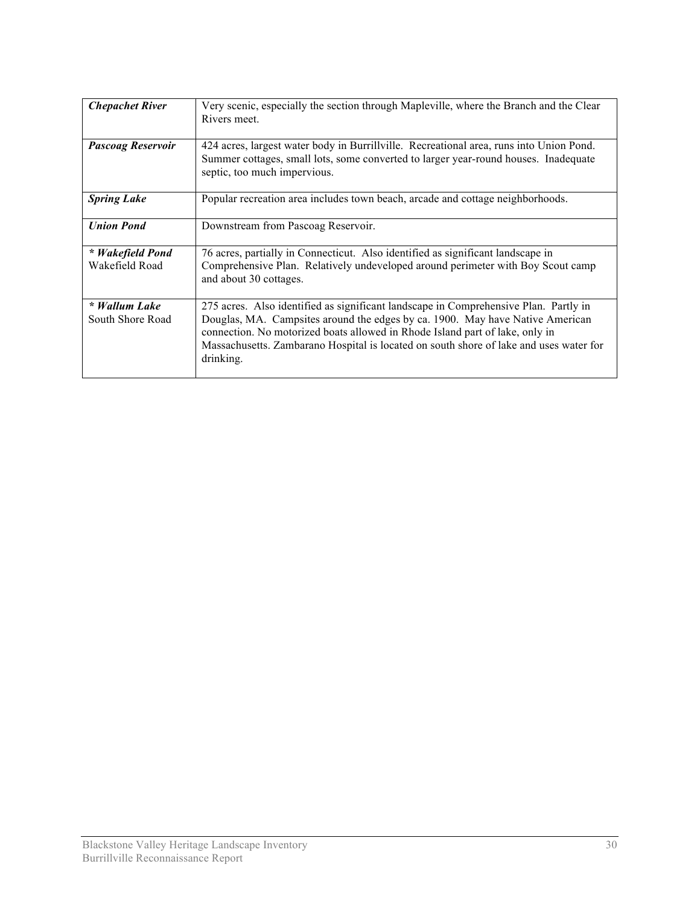| <b>Chepachet River</b>             | Very scenic, especially the section through Mapleville, where the Branch and the Clear<br>Rivers meet.                                                                                                                                                                                                                                                       |
|------------------------------------|--------------------------------------------------------------------------------------------------------------------------------------------------------------------------------------------------------------------------------------------------------------------------------------------------------------------------------------------------------------|
| <b>Pascoag Reservoir</b>           | 424 acres, largest water body in Burrillville. Recreational area, runs into Union Pond.<br>Summer cottages, small lots, some converted to larger year-round houses. Inadequate<br>septic, too much impervious.                                                                                                                                               |
| <b>Spring Lake</b>                 | Popular recreation area includes town beach, arcade and cottage neighborhoods.                                                                                                                                                                                                                                                                               |
| <b>Union Pond</b>                  | Downstream from Pascoag Reservoir.                                                                                                                                                                                                                                                                                                                           |
| * Wakefield Pond<br>Wakefield Road | 76 acres, partially in Connecticut. Also identified as significant landscape in<br>Comprehensive Plan. Relatively undeveloped around perimeter with Boy Scout camp<br>and about 30 cottages.                                                                                                                                                                 |
| * Wallum Lake<br>South Shore Road  | 275 acres. Also identified as significant landscape in Comprehensive Plan. Partly in<br>Douglas, MA. Campsites around the edges by ca. 1900. May have Native American<br>connection. No motorized boats allowed in Rhode Island part of lake, only in<br>Massachusetts. Zambarano Hospital is located on south shore of lake and uses water for<br>drinking. |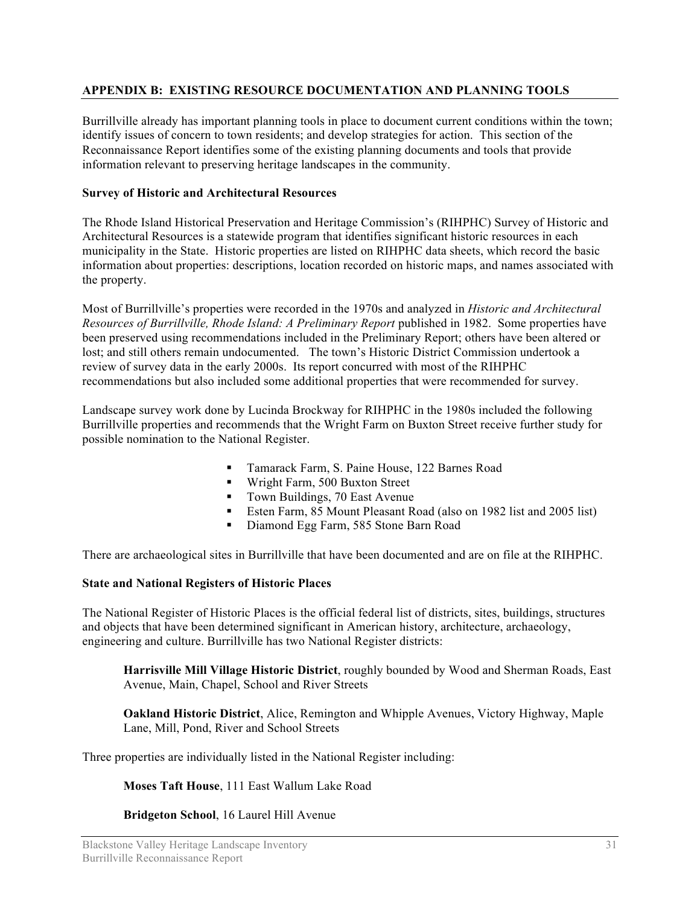## **APPENDIX B: EXISTING RESOURCE DOCUMENTATION AND PLANNING TOOLS**

Burrillville already has important planning tools in place to document current conditions within the town; identify issues of concern to town residents; and develop strategies for action. This section of the Reconnaissance Report identifies some of the existing planning documents and tools that provide information relevant to preserving heritage landscapes in the community.

## **Survey of Historic and Architectural Resources**

The Rhode Island Historical Preservation and Heritage Commission's (RIHPHC) Survey of Historic and Architectural Resources is a statewide program that identifies significant historic resources in each municipality in the State. Historic properties are listed on RIHPHC data sheets, which record the basic information about properties: descriptions, location recorded on historic maps, and names associated with the property.

Most of Burrillville's properties were recorded in the 1970s and analyzed in *Historic and Architectural Resources of Burrillville, Rhode Island: A Preliminary Report published in 1982. Some properties have* been preserved using recommendations included in the Preliminary Report; others have been altered or lost; and still others remain undocumented. The town's Historic District Commission undertook a review of survey data in the early 2000s. Its report concurred with most of the RIHPHC recommendations but also included some additional properties that were recommended for survey.

Landscape survey work done by Lucinda Brockway for RIHPHC in the 1980s included the following Burrillville properties and recommends that the Wright Farm on Buxton Street receive further study for possible nomination to the National Register.

- **Tamarack Farm, S. Paine House, 122 Barnes Road**
- **Wight Farm, 500 Buxton Street**
- Town Buildings, 70 East Avenue
- Esten Farm, 85 Mount Pleasant Road (also on 1982 list and 2005 list)
- Diamond Egg Farm, 585 Stone Barn Road

There are archaeological sites in Burrillville that have been documented and are on file at the RIHPHC.

## **State and National Registers of Historic Places**

The National Register of Historic Places is the official federal list of districts, sites, buildings, structures and objects that have been determined significant in American history, architecture, archaeology, engineering and culture. Burrillville has two National Register districts:

**Harrisville Mill Village Historic District**, roughly bounded by Wood and Sherman Roads, East Avenue, Main, Chapel, School and River Streets

**Oakland Historic District**, Alice, Remington and Whipple Avenues, Victory Highway, Maple Lane, Mill, Pond, River and School Streets

Three properties are individually listed in the National Register including:

**Moses Taft House**, 111 East Wallum Lake Road

## **Bridgeton School**, 16 Laurel Hill Avenue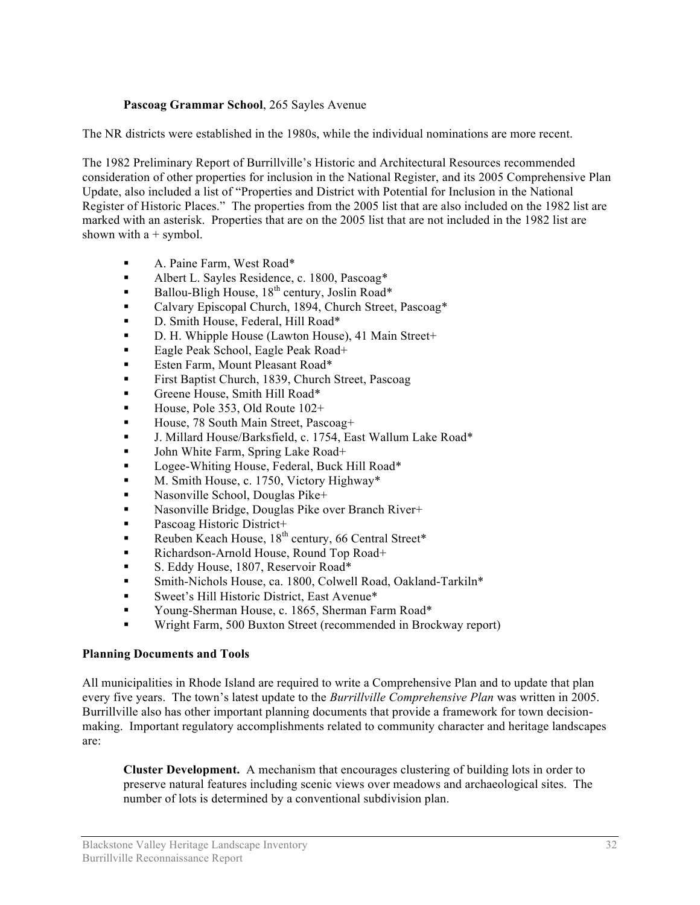## **Pascoag Grammar School**, 265 Sayles Avenue

The NR districts were established in the 1980s, while the individual nominations are more recent.

The 1982 Preliminary Report of Burrillville's Historic and Architectural Resources recommended consideration of other properties for inclusion in the National Register, and its 2005 Comprehensive Plan Update, also included a list of "Properties and District with Potential for Inclusion in the National Register of Historic Places." The properties from the 2005 list that are also included on the 1982 list are marked with an asterisk. Properties that are on the 2005 list that are not included in the 1982 list are shown with  $a +$  symbol.

- A. Paine Farm, West Road\*
- Albert L. Sayles Residence, c. 1800, Pascoag\*
- Ballou-Bligh House,  $18^{th}$  century, Joslin Road\*
- Calvary Episcopal Church, 1894, Church Street, Pascoag\*
- D. Smith House, Federal, Hill Road\*
- D. H. Whipple House (Lawton House), 41 Main Street+
- Eagle Peak School, Eagle Peak Road+
- **Esten Farm, Mount Pleasant Road\***
- First Baptist Church, 1839, Church Street, Pascoag
- **Greene House, Smith Hill Road\***
- House, Pole 353, Old Route  $102+$
- House, 78 South Main Street, Pascoag+
- J. Millard House/Barksfield, c. 1754, East Wallum Lake Road\*
- John White Farm, Spring Lake Road+
- Logee-Whiting House, Federal, Buck Hill Road\*
- M. Smith House, c. 1750, Victory Highway\*
- Nasonville School, Douglas Pike+
- Nasonville Bridge, Douglas Pike over Branch River+
- Pascoag Historic District+
- Reuben Keach House,  $18^{th}$  century, 66 Central Street\*
- Richardson-Arnold House, Round Top Road+
- S. Eddy House, 1807, Reservoir Road\*
- Smith-Nichols House, ca. 1800, Colwell Road, Oakland-Tarkiln\*
- Sweet's Hill Historic District, East Avenue\*
- Young-Sherman House, c. 1865, Sherman Farm Road\*
- Wright Farm, 500 Buxton Street (recommended in Brockway report)

#### **Planning Documents and Tools**

All municipalities in Rhode Island are required to write a Comprehensive Plan and to update that plan every five years. The town's latest update to the *Burrillville Comprehensive Plan* was written in 2005. Burrillville also has other important planning documents that provide a framework for town decisionmaking. Important regulatory accomplishments related to community character and heritage landscapes are:

**Cluster Development.** A mechanism that encourages clustering of building lots in order to preserve natural features including scenic views over meadows and archaeological sites. The number of lots is determined by a conventional subdivision plan.